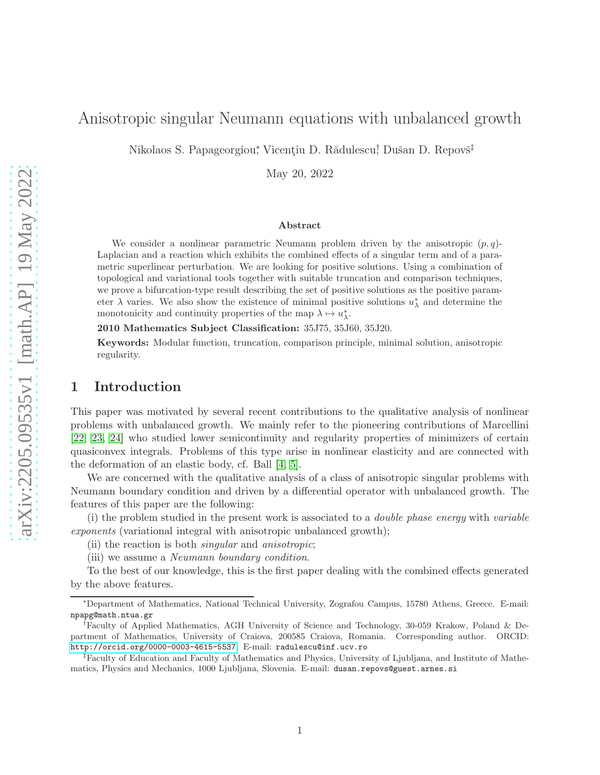# Nikolaos S. Papageorgiou\*, Vicențiu D. Rădulescu<sup>†</sup>, Dušan D. Repovš<sup>‡</sup> May 20, 2022

### Abstract

Anisotropic singular Neumann equations with unbalanced growth

We consider a nonlinear parametric Neumann problem driven by the anisotropic  $(p, q)$ -Laplacian and a reaction which exhibits the combined effects of a singular term and of a parametric superlinear perturbation. We are looking for positive solutions. Using a combination of topological and variational tools together with suitable truncation and comparison techniques, we prove a bifurcation-type result describing the set of positive solutions as the positive parameter  $\lambda$  varies. We also show the existence of minimal positive solutions  $u_{\lambda}^*$  and determine the monotonicity and continuity properties of the map  $\lambda \mapsto u_{\lambda}^*$ .

2010 Mathematics Subject Classification: 35J75, 35J60, 35J20.

Keywords: Modular function, truncation, comparison principle, minimal solution, anisotropic regularity.

## 1 Introduction

This paper was motivated by several recent contributions to the qualitative analysis of nonlinear problems with unbalanced growth. We mainly refer to the pioneering contributions of Marcellini [\[22,](#page-26-0) [23,](#page-26-1) [24\]](#page-26-2) who studied lower semicontinuity and regularity properties of minimizers of certain quasiconvex integrals. Problems of this type arise in nonlinear elasticity and are connected with the deformation of an elastic body, cf. Ball [\[4,](#page-25-0) [5\]](#page-25-1).

We are concerned with the qualitative analysis of a class of anisotropic singular problems with Neumann boundary condition and driven by a differential operator with unbalanced growth. The features of this paper are the following:

(i) the problem studied in the present work is associated to a double phase energy with variable exponents (variational integral with anisotropic unbalanced growth);

(ii) the reaction is both singular and anisotropic;

(iii) we assume a Neumann boundary condition.

To the best of our knowledge, this is the first paper dealing with the combined effects generated by the above features.

<sup>∗</sup>Department of Mathematics, National Technical University, Zografou Campus, 15780 Athens, Greece. E-mail: npapg@math.ntua.gr

<sup>†</sup>Faculty of Applied Mathematics, AGH University of Science and Technology, 30-059 Krakow, Poland & Department of Mathematics, University of Craiova, 200585 Craiova, Romania. Corresponding author. ORCID: <http://orcid.org/0000-0003-4615-5537>. E-mail: radulescu@inf.ucv.ro

<sup>‡</sup>Faculty of Education and Faculty of Mathematics and Physics, University of Ljubljana, and Institute of Mathematics, Physics and Mechanics, 1000 Ljubljana, Slovenia. E-mail: dusan.repovs@guest.arnes.si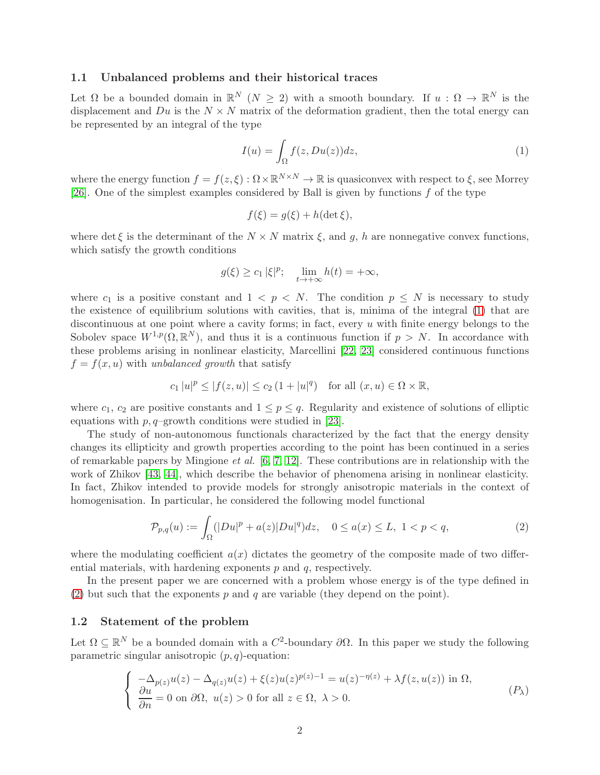## 1.1 Unbalanced problems and their historical traces

Let  $\Omega$  be a bounded domain in  $\mathbb{R}^N$  ( $N \geq 2$ ) with a smooth boundary. If  $u : \Omega \to \mathbb{R}^N$  is the displacement and  $Du$  is the  $N \times N$  matrix of the deformation gradient, then the total energy can be represented by an integral of the type

<span id="page-1-0"></span>
$$
I(u) = \int_{\Omega} f(z, Du(z))dz,
$$
 (1)

where the energy function  $f = f(z, \xi) : \Omega \times \mathbb{R}^{N \times N} \to \mathbb{R}$  is quasiconvex with respect to  $\xi$ , see Morrey [\[26\]](#page-26-3). One of the simplest examples considered by Ball is given by functions  $f$  of the type

$$
f(\xi) = g(\xi) + h(\det \xi),
$$

where det  $\xi$  is the determinant of the  $N \times N$  matrix  $\xi$ , and g, h are nonnegative convex functions, which satisfy the growth conditions

$$
g(\xi) \ge c_1 |\xi|^p
$$
;  $\lim_{t \to +\infty} h(t) = +\infty$ ,

where  $c_1$  is a positive constant and  $1 \leq p \leq N$ . The condition  $p \leq N$  is necessary to study the existence of equilibrium solutions with cavities, that is, minima of the integral [\(1\)](#page-1-0) that are discontinuous at one point where a cavity forms; in fact, every  $u$  with finite energy belongs to the Sobolev space  $W^{1,p}(\Omega,\mathbb{R}^N)$ , and thus it is a continuous function if  $p > N$ . In accordance with these problems arising in nonlinear elasticity, Marcellini [\[22,](#page-26-0) [23\]](#page-26-1) considered continuous functions  $f = f(x, u)$  with unbalanced growth that satisfy

$$
c_1 |u|^p \le |f(z, u)| \le c_2 \left(1 + |u|^q\right) \quad \text{for all } (x, u) \in \Omega \times \mathbb{R},
$$

where  $c_1$ ,  $c_2$  are positive constants and  $1 \leq p \leq q$ . Regularity and existence of solutions of elliptic equations with  $p, q$ –growth conditions were studied in [\[23\]](#page-26-1).

The study of non-autonomous functionals characterized by the fact that the energy density changes its ellipticity and growth properties according to the point has been continued in a series of remarkable papers by Mingione *et al.*  $[6, 7, 12]$  $[6, 7, 12]$  $[6, 7, 12]$ . These contributions are in relationship with the work of Zhikov [\[43,](#page-27-0) [44\]](#page-27-1), which describe the behavior of phenomena arising in nonlinear elasticity. In fact, Zhikov intended to provide models for strongly anisotropic materials in the context of homogenisation. In particular, he considered the following model functional

<span id="page-1-1"></span>
$$
\mathcal{P}_{p,q}(u) := \int_{\Omega} (|Du|^p + a(z)|Du|^q) dz, \quad 0 \le a(x) \le L, \ 1 < p < q,\tag{2}
$$

where the modulating coefficient  $a(x)$  dictates the geometry of the composite made of two differential materials, with hardening exponents  $p$  and  $q$ , respectively.

In the present paper we are concerned with a problem whose energy is of the type defined in [\(2\)](#page-1-1) but such that the exponents p and q are variable (they depend on the point).

#### 1.2 Statement of the problem

Let  $\Omega \subseteq \mathbb{R}^N$  be a bounded domain with a  $C^2$ -boundary  $\partial \Omega$ . In this paper we study the following parametric singular anisotropic  $(p, q)$ -equation:

$$
\begin{cases}\n-\Delta_{p(z)}u(z) - \Delta_{q(z)}u(z) + \xi(z)u(z)^{p(z)-1} = u(z)^{-\eta(z)} + \lambda f(z, u(z)) \text{ in } \Omega, \\
\frac{\partial u}{\partial n} = 0 \text{ on } \partial\Omega, \ u(z) > 0 \text{ for all } z \in \Omega, \ \lambda > 0.\n\end{cases} (P_\lambda)
$$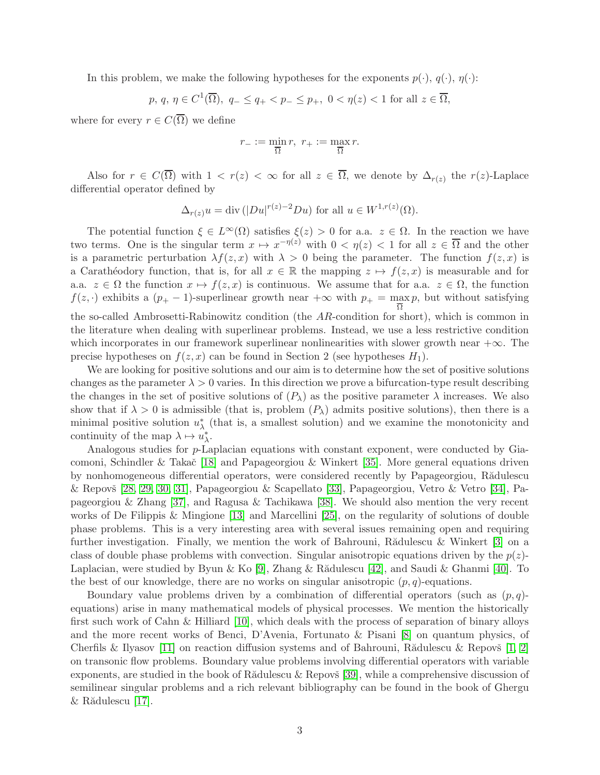In this problem, we make the following hypotheses for the exponents  $p(\cdot), q(\cdot), \eta(\cdot)$ :

$$
p, q, \eta \in C^1(\overline{\Omega}), q_- \leq q_+ < p_- \leq p_+, 0 < \eta(z) < 1
$$
 for all  $z \in \overline{\Omega}$ ,

where for every  $r \in C(\overline{\Omega})$  we define

$$
r_{-} := \min_{\overline{\Omega}} r, \ r_{+} := \max_{\overline{\Omega}} r.
$$

Also for  $r \in C(\Omega)$  with  $1 < r(z) < \infty$  for all  $z \in \Omega$ , we denote by  $\Delta_{r(z)}$  the  $r(z)$ -Laplace differential operator defined by

$$
\Delta_{r(z)} u = \text{div} \left( |Du|^{r(z)-2} Du \right) \text{ for all } u \in W^{1,r(z)}(\Omega).
$$

The potential function  $\xi \in L^{\infty}(\Omega)$  satisfies  $\xi(z) > 0$  for a.a.  $z \in \Omega$ . In the reaction we have two terms. One is the singular term  $x \mapsto x^{-\eta(z)}$  with  $0 < \eta(z) < 1$  for all  $z \in \overline{\Omega}$  and the other is a parametric perturbation  $\lambda f(z, x)$  with  $\lambda > 0$  being the parameter. The function  $f(z, x)$  is a Carathéodory function, that is, for all  $x \in \mathbb{R}$  the mapping  $z \mapsto f(z, x)$  is measurable and for a.a.  $z \in \Omega$  the function  $x \mapsto f(z, x)$  is continuous. We assume that for a.a.  $z \in \Omega$ , the function  $f(z, \cdot)$  exhibits a  $(p_{+} - 1)$ -superlinear growth near  $+\infty$  with  $p_{+} = \frac{m}{\Omega}$ p, but without satisfying the so-called Ambrosetti-Rabinowitz condition (the AR-condition for short), which is common in the literature when dealing with superlinear problems. Instead, we use a less restrictive condition which incorporates in our framework superlinear nonlinearities with slower growth near  $+\infty$ . The precise hypotheses on  $f(z, x)$  can be found in Section 2 (see hypotheses  $H_1$ ).

We are looking for positive solutions and our aim is to determine how the set of positive solutions changes as the parameter  $\lambda > 0$  varies. In this direction we prove a bifurcation-type result describing the changes in the set of positive solutions of  $(P_\lambda)$  as the positive parameter  $\lambda$  increases. We also show that if  $\lambda > 0$  is admissible (that is, problem  $(P_{\lambda})$  admits positive solutions), then there is a minimal positive solution  $u^*_{\lambda}$  (that is, a smallest solution) and we examine the monotonicity and continuity of the map  $\lambda \mapsto u_{\lambda}^*$ .

Analogous studies for p-Laplacian equations with constant exponent, were conducted by Gia-comoni, Schindler & Takač [\[18\]](#page-25-5) and Papageorgiou & Winkert [\[35\]](#page-26-4). More general equations driven by nonhomogeneous differential operators, were considered recently by Papageorgiou, Rădulescu  $\&$  Repovš [\[28,](#page-26-5) [29,](#page-26-6) [30,](#page-26-7) [31\]](#page-26-8), Papageorgiou  $\&$  Scapellato [\[33\]](#page-26-9), Papageorgiou, Vetro  $\&$  Vetro [\[34\]](#page-26-10), Papageorgiou & Zhang [\[37\]](#page-26-11), and Ragusa & Tachikawa [\[38\]](#page-26-12). We should also mention the very recent works of De Filippis & Mingione [\[13\]](#page-25-6) and Marcellini [\[25\]](#page-26-13), on the regularity of solutions of double phase problems. This is a very interesting area with several issues remaining open and requiring further investigation. Finally, we mention the work of Bahrouni, R $\rm{R\ddot{a}}$ dulescu & Winkert [\[3\]](#page-25-7) on a class of double phase problems with convection. Singular anisotropic equations driven by the  $p(z)$ -Laplacian, were studied by Byun & Ko [\[9\]](#page-25-8), Zhang & Rădulescu [\[42\]](#page-27-2), and Saudi & Ghanmi [\[40\]](#page-27-3). To the best of our knowledge, there are no works on singular anisotropic  $(p, q)$ -equations.

Boundary value problems driven by a combination of differential operators (such as  $(p, q)$ equations) arise in many mathematical models of physical processes. We mention the historically first such work of Cahn & Hilliard [\[10\]](#page-25-9), which deals with the process of separation of binary alloys and the more recent works of Benci, D'Avenia, Fortunato & Pisani [\[8\]](#page-25-10) on quantum physics, of Cherfils & Ilyasov [\[11\]](#page-25-11) on reaction diffusion systems and of Bahrouni, Rădulescu & Repovš [\[1,](#page-25-12) [2\]](#page-25-13) on transonic flow problems. Boundary value problems involving differential operators with variable exponents, are studied in the book of R $\alpha$ dulescu & Repovs [\[39\]](#page-26-14), while a comprehensive discussion of semilinear singular problems and a rich relevant bibliography can be found in the book of Ghergu  $&$  Rădulescu [\[17\]](#page-25-14).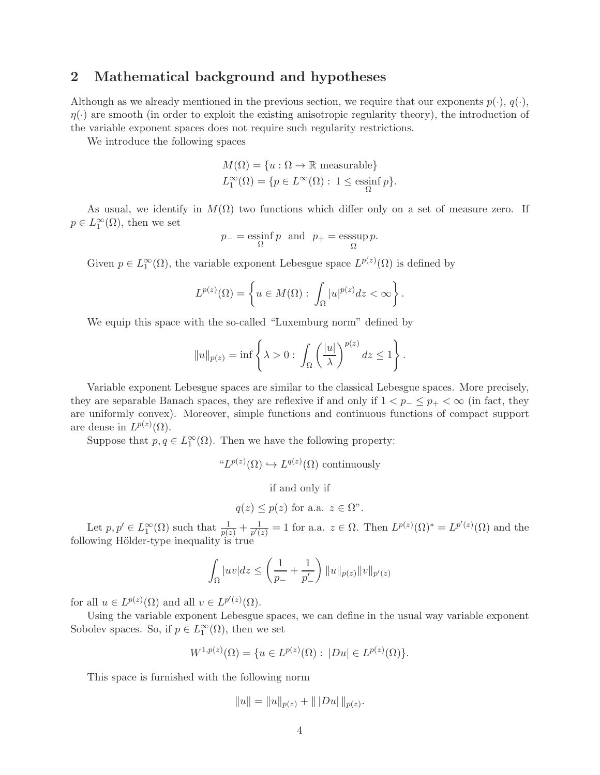## 2 Mathematical background and hypotheses

Although as we already mentioned in the previous section, we require that our exponents  $p(\cdot), q(\cdot)$ ,  $\eta(\cdot)$  are smooth (in order to exploit the existing anisotropic regularity theory), the introduction of the variable exponent spaces does not require such regularity restrictions.

We introduce the following spaces

$$
M(\Omega) = \{u : \Omega \to \mathbb{R} \text{ measurable}\}
$$
  

$$
L_1^{\infty}(\Omega) = \{p \in L^{\infty}(\Omega) : 1 \le \operatorname{essinf}_{\Omega} p\}.
$$

As usual, we identify in  $M(\Omega)$  two functions which differ only on a set of measure zero. If  $p \in L_1^{\infty}(\Omega)$ , then we set

$$
p_{-} = \operatorname*{essinf}_{\Omega} p
$$
 and  $p_{+} = \operatorname*{esssup}_{\Omega} p$ .

Given  $p \in L_1^{\infty}(\Omega)$ , the variable exponent Lebesgue space  $L^{p(z)}(\Omega)$  is defined by

$$
L^{p(z)}(\Omega) = \left\{ u \in M(\Omega) : \int_{\Omega} |u|^{p(z)} dz < \infty \right\}.
$$

We equip this space with the so-called "Luxemburg norm" defined by

$$
||u||_{p(z)} = \inf \left\{ \lambda > 0 : \int_{\Omega} \left( \frac{|u|}{\lambda} \right)^{p(z)} dz \le 1 \right\}.
$$

Variable exponent Lebesgue spaces are similar to the classical Lebesgue spaces. More precisely, they are separable Banach spaces, they are reflexive if and only if  $1 < p_{-} \leq p_{+} < \infty$  (in fact, they are uniformly convex). Moreover, simple functions and continuous functions of compact support are dense in  $L^{p(z)}(\Omega)$ .

Suppose that  $p, q \in L_1^{\infty}(\Omega)$ . Then we have the following property:

<sup>$$
\mu
$$</sup>L <sup>$p(z)$</sup> ( $\Omega$ )  $\hookrightarrow$  L <sup>$q(z)$</sup> ( $\Omega$ ) continuously

if and only if

$$
q(z) \leq p(z)
$$
 for a.a.  $z \in \Omega$ ".

Let  $p, p' \in L_1^{\infty}(\Omega)$  such that  $\frac{1}{p(z)} + \frac{1}{p'(z)}$  $\frac{1}{p'(z)} = 1$  for a.a.  $z \in \Omega$ . Then  $L^{p(z)}(\Omega)^* = L^{p'(z)}(\Omega)$  and the following Hölder-type inequality is true

$$
\int_{\Omega} |uv| dz \le \left(\frac{1}{p_-} + \frac{1}{p'_-}\right) ||u||_{p(z)} ||v||_{p'(z)}
$$

for all  $u \in L^{p(z)}(\Omega)$  and all  $v \in L^{p'(z)}(\Omega)$ .

Using the variable exponent Lebesgue spaces, we can define in the usual way variable exponent Sobolev spaces. So, if  $p \in L_1^{\infty}(\Omega)$ , then we set

$$
W^{1,p(z)}(\Omega) = \{ u \in L^{p(z)}(\Omega) : |Du| \in L^{p(z)}(\Omega) \}.
$$

This space is furnished with the following norm

$$
||u|| = ||u||_{p(z)} + |||Du||_{p(z)}.
$$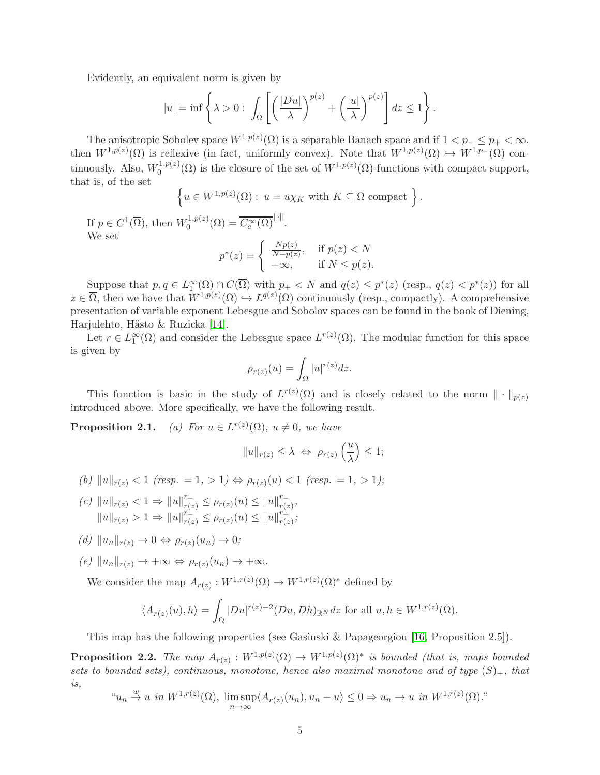Evidently, an equivalent norm is given by

$$
|u| = \inf \left\{ \lambda > 0 : \int_{\Omega} \left[ \left( \frac{|Du|}{\lambda} \right)^{p(z)} + \left( \frac{|u|}{\lambda} \right)^{p(z)} \right] dz \le 1 \right\}.
$$

The anisotropic Sobolev space  $W^{1,p(z)}(\Omega)$  is a separable Banach space and if  $1 < p_- \leq p_+ < \infty$ , then  $W^{1,p(z)}(\Omega)$  is reflexive (in fact, uniformly convex). Note that  $W^{1,p(z)}(\Omega) \hookrightarrow W^{1,p}(\Omega)$  continuously. Also,  $W_0^{1,p(z)}$  $\mathbb{Q}_0^{(1,p(z)}(\Omega)$  is the closure of the set of  $W^{(1,p(z)}(\Omega))$ -functions with compact support, that is, of the set

$$
\left\{ u \in W^{1,p(z)}(\Omega) : u = u \chi_K \text{ with } K \subseteq \Omega \text{ compact } \right\}.
$$

If  $p \in C^1(\overline{\Omega})$ , then  $W_0^{1,p(z)}$  $C_0^{1,p(z)}(\Omega) = \overline{C_c^{\infty}(\Omega)}^{\|\cdot\|}.$ We set

$$
p^*(z) = \begin{cases} \frac{Np(z)}{N-p(z)}, & \text{if } p(z) < N\\ +\infty, & \text{if } N \le p(z). \end{cases}
$$

Suppose that  $p, q \in L_1^{\infty}(\Omega) \cap C(\overline{\Omega})$  with  $p_+ < N$  and  $q(z) \leq p^*(z)$  (resp.,  $q(z) < p^*(z)$ ) for all  $z \in \overline{\Omega}$ , then we have that  $W^{1,p(z)}(\Omega) \hookrightarrow L^{q(z)}(\Omega)$  continuously (resp., compactly). A comprehensive presentation of variable exponent Lebesgue and Sobolov spaces can be found in the book of Diening, Harjulehto, Hästo & Ruzicka [\[14\]](#page-25-15).

Let  $r \in L_1^{\infty}(\Omega)$  and consider the Lebesgue space  $L^{r(z)}(\Omega)$ . The modular function for this space is given by

$$
\rho_{r(z)}(u) = \int_{\Omega} |u|^{r(z)} dz.
$$

This function is basic in the study of  $L^{r(z)}(\Omega)$  and is closely related to the norm  $\|\cdot\|_{p(z)}$ introduced above. More specifically, we have the following result.

**Proposition 2.1.** (a) For  $u \in L^{r(z)}(\Omega)$ ,  $u \neq 0$ , we have

$$
||u||_{r(z)} \leq \lambda \iff \rho_{r(z)}\left(\frac{u}{\lambda}\right) \leq 1;
$$

- (b)  $||u||_{r(z)} < 1$  (resp. = 1, > 1)  $\Leftrightarrow$   $\rho_{r(z)}(u) < 1$  (resp. = 1, > 1);
- (c)  $||u||_{r(z)} < 1 \Rightarrow ||u||_{r(z)}^{r_+} \leq \rho_{r(z)}(u) \leq ||u||_{r(z)}^{r_-}$  $_{r(z)}^{r}$ ,  $||u||_{r(z)} > 1 \Rightarrow ||u||_{r(z)}^{r(z)} \leq \rho_{r(z)}(u) \leq ||u||_{r(z)}^{r(z)}$  $_{r(z)}^{r_+};$
- $(d) \|u_n\|_{r(z)} \to 0 \Leftrightarrow \rho_{r(z)}(u_n) \to 0;$
- $(e)$   $||u_n||_{r(z)} \rightarrow +\infty \Leftrightarrow \rho_{r(z)}(u_n) \rightarrow +\infty.$

We consider the map  $A_{r(z)} : W^{1,r(z)}(\Omega) \to W^{1,r(z)}(\Omega)^*$  defined by

$$
\langle A_{r(z)}(u),h\rangle = \int_{\Omega} |Du|^{r(z)-2} (Du,Dh)_{\mathbb{R}^N} dz \text{ for all } u,h \in W^{1,r(z)}(\Omega).
$$

This map has the following properties (see Gasinski & Papageorgiou [\[16,](#page-25-16) Proposition 2.5]).

<span id="page-4-0"></span>**Proposition 2.2.** The map  $A_{r(z)}: W^{1,p(z)}(\Omega) \to W^{1,p(z)}(\Omega)^*$  is bounded (that is, maps bounded sets to bounded sets), continuous, monotone, hence also maximal monotone and of type  $(S)_+$ , that is,

$$
u_n \stackrel{w}{\to} u
$$
 in  $W^{1,r(z)}(\Omega)$ ,  $\limsup_{n \to \infty} \langle A_{r(z)}(u_n), u_n - u \rangle \leq 0 \Rightarrow u_n \to u$  in  $W^{1,r(z)}(\Omega)$ .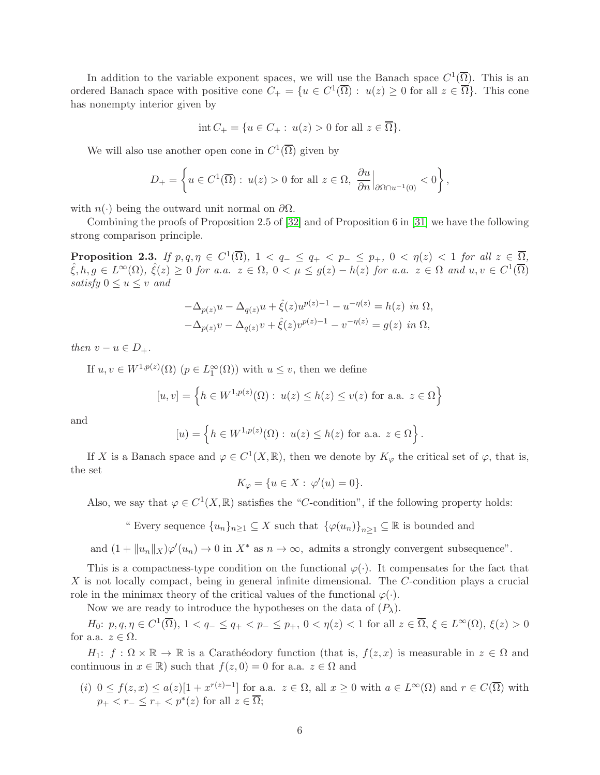In addition to the variable exponent spaces, we will use the Banach space  $C^1(\overline{\Omega})$ . This is an ordered Banach space with positive cone  $C_+ = \{u \in C^1(\overline{\Omega}) : u(z) \geq 0 \text{ for all } z \in \overline{\Omega}\}.$  This cone has nonempty interior given by

$$
int C_{+} = \{ u \in C_{+} : u(z) > 0 \text{ for all } z \in \overline{\Omega} \}.
$$

We will also use another open cone in  $C^1(\overline{\Omega})$  given by

$$
D_{+} = \left\{ u \in C^{1}(\overline{\Omega}) : u(z) > 0 \text{ for all } z \in \Omega, \left. \frac{\partial u}{\partial n} \right|_{\partial \Omega \cap u^{-1}(0)} < 0 \right\},\
$$

with  $n(\cdot)$  being the outward unit normal on  $\partial\Omega$ .

Combining the proofs of Proposition 2.5 of [\[32\]](#page-26-15) and of Proposition 6 in [\[31\]](#page-26-8) we have the following strong comparison principle.

<span id="page-5-0"></span>**Proposition 2.3.** If  $p, q, \eta \in C^1(\overline{\Omega})$ ,  $1 < q_- \leq q_+ < p_- \leq p_+$ ,  $0 < \eta(z) < 1$  for all  $z \in \overline{\Omega}$ ,  $\hat{\xi}, h, g \in L^{\infty}(\Omega)$ ,  $\hat{\xi}(z) \geq 0$  for a.a.  $z \in \Omega$ ,  $0 < \mu \leq g(z) - h(z)$  for a.a.  $z \in \Omega$  and  $u, v \in C^{1}(\overline{\Omega})$ satisfy  $0 \le u \le v$  and

$$
-\Delta_{p(z)}u - \Delta_{q(z)}u + \hat{\xi}(z)u^{p(z)-1} - u^{-\eta(z)} = h(z) \text{ in } \Omega,
$$
  

$$
-\Delta_{p(z)}v - \Delta_{q(z)}v + \hat{\xi}(z)v^{p(z)-1} - v^{-\eta(z)} = g(z) \text{ in } \Omega,
$$

then  $v - u \in D_+$ .

If  $u, v \in W^{1,p(z)}(\Omega)$   $(p \in L_1^{\infty}(\Omega))$  with  $u \leq v$ , then we define

$$
[u, v] = \left\{ h \in W^{1, p(z)}(\Omega) : u(z) \le h(z) \le v(z) \text{ for a.a. } z \in \Omega \right\}
$$

and

$$
[u] = \left\{ h \in W^{1,p(z)}(\Omega) : u(z) \le h(z) \text{ for a.a. } z \in \Omega \right\}.
$$

If X is a Banach space and  $\varphi \in C^1(X,\mathbb{R})$ , then we denote by  $K_{\varphi}$  the critical set of  $\varphi$ , that is, the set

$$
K_{\varphi} = \{ u \in X : \varphi'(u) = 0 \}.
$$

Also, we say that  $\varphi \in C^1(X,\mathbb{R})$  satisfies the "C-condition", if the following property holds:

" Every sequence  $\{u_n\}_{n\geq 1}\subseteq X$  such that  $\{\varphi(u_n)\}_{n\geq 1}\subseteq \mathbb{R}$  is bounded and

and  $(1 + ||u_n||_X)\varphi'(u_n) \to 0$  in  $X^*$  as  $n \to \infty$ , admits a strongly convergent subsequence".

This is a compactness-type condition on the functional  $\varphi(\cdot)$ . It compensates for the fact that  $X$  is not locally compact, being in general infinite dimensional. The  $C$ -condition plays a crucial role in the minimax theory of the critical values of the functional  $\varphi(\cdot)$ .

Now we are ready to introduce the hypotheses on the data of  $(P_\lambda)$ .

 $H_0: p, q, \eta \in C^1(\overline{\Omega}), 1 < q_- \leq q_+ < p_- \leq p_+, 0 < \eta(z) < 1$  for all  $z \in \overline{\Omega}, \xi \in L^{\infty}(\Omega), \xi(z) > 0$ for a.a.  $z \in \Omega$ .

 $H_1: f: \Omega \times \mathbb{R} \to \mathbb{R}$  is a Carathéodory function (that is,  $f(z, x)$  is measurable in  $z \in \Omega$  and continuous in  $x \in \mathbb{R}$ ) such that  $f(z, 0) = 0$  for a.a.  $z \in \Omega$  and

(i)  $0 \le f(z,x) \le a(z)[1+x^{r(z)-1}]$  for a.a.  $z \in \Omega$ , all  $x \ge 0$  with  $a \in L^{\infty}(\Omega)$  and  $r \in C(\overline{\Omega})$  with  $p_+ < r_- \leq r_+ < p^*(z)$  for all  $z \in \overline{\Omega}$ ;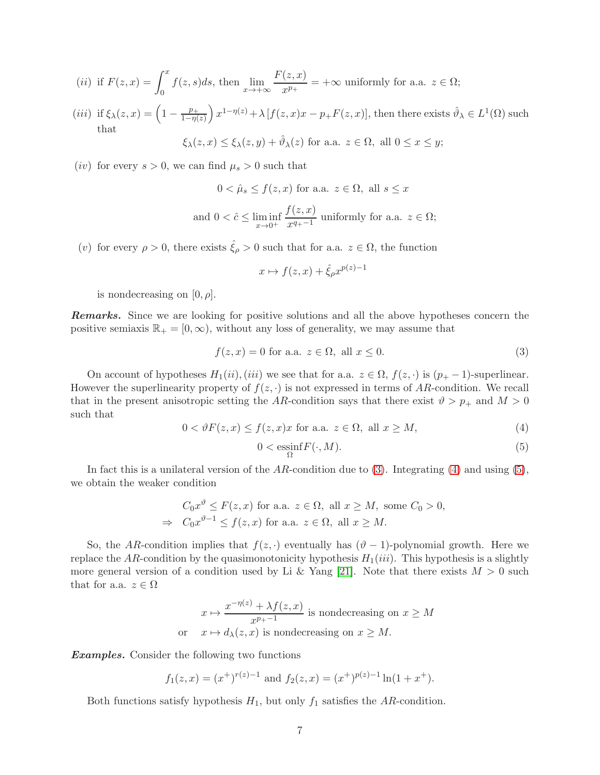(*ii*) if 
$$
F(z, x) = \int_0^x f(z, s)ds
$$
, then  $\lim_{x \to +\infty} \frac{F(z, x)}{x^{p_+}} = +\infty$  uniformly for a.a.  $z \in \Omega$ ;

(iii) if 
$$
\xi_{\lambda}(z, x) = \left(1 - \frac{p_+}{1 - \eta(z)}\right) x^{1 - \eta(z)} + \lambda [f(z, x)x - p_+ F(z, x)],
$$
 then there exists  $\hat{\vartheta}_{\lambda} \in L^1(\Omega)$  such that  

$$
\xi_{\lambda}(z, x) \le \xi_{\lambda}(z, y) + \hat{\vartheta}_{\lambda}(z) \text{ for a.a. } z \in \Omega, \text{ all } 0 \le x \le y;
$$

(*iv*) for every  $s > 0$ , we can find  $\mu_s > 0$  such that

$$
0 < \hat{\mu}_s \le f(z, x) \text{ for a.a. } z \in \Omega, \text{ all } s \le x
$$
\n
$$
\text{and } 0 < \hat{c} \le \liminf_{x \to 0^+} \frac{f(z, x)}{x^{q_+ - 1}} \text{ uniformly for a.a. } z \in \Omega;
$$

(v) for every  $\rho > 0$ , there exists  $\hat{\xi}_{\rho} > 0$  such that for a.a.  $z \in \Omega$ , the function

$$
x \mapsto f(z, x) + \hat{\xi}_{\rho} x^{p(z)-1}
$$

is nondecreasing on  $[0, \rho]$ .

**Remarks.** Since we are looking for positive solutions and all the above hypotheses concern the positive semiaxis  $\mathbb{R}_+ = [0, \infty)$ , without any loss of generality, we may assume that

<span id="page-6-0"></span>
$$
f(z, x) = 0 \text{ for a.a. } z \in \Omega, \text{ all } x \le 0. \tag{3}
$$

On account of hypotheses  $H_1(ii)$ , (iii) we see that for a.a.  $z \in \Omega$ ,  $f(z, \cdot)$  is  $(p_+ - 1)$ -superlinear. However the superlinearity property of  $f(z, \cdot)$  is not expressed in terms of AR-condition. We recall that in the present anisotropic setting the AR-condition says that there exist  $\vartheta > p_+$  and  $M > 0$ such that

<span id="page-6-1"></span>
$$
0 < \vartheta F(z, x) \le f(z, x)x \text{ for a.a. } z \in \Omega, \text{ all } x \ge M,\tag{4}
$$

<span id="page-6-2"></span>
$$
0 < \underset{\Omega}{\text{essinf}} F(\cdot, M). \tag{5}
$$

In fact this is a unilateral version of the AR-condition due to [\(3\)](#page-6-0). Integrating [\(4\)](#page-6-1) and using [\(5\)](#page-6-2), we obtain the weaker condition

$$
C_0 x^{\vartheta} \le F(z, x) \text{ for a.a. } z \in \Omega, \text{ all } x \ge M, \text{ some } C_0 > 0,
$$
  
\n
$$
\Rightarrow C_0 x^{\vartheta - 1} \le f(z, x) \text{ for a.a. } z \in \Omega, \text{ all } x \ge M.
$$

So, the AR-condition implies that  $f(z, \cdot)$  eventually has  $(\vartheta - 1)$ -polynomial growth. Here we replace the AR-condition by the quasimonotonicity hypothesis  $H_1(iii)$ . This hypothesis is a slightly more general version of a condition used by Li & Yang [\[21\]](#page-26-16). Note that there exists  $M > 0$  such that for a.a.  $z \in \Omega$ 

$$
x \mapsto \frac{x^{-\eta(z)} + \lambda f(z, x)}{x^{p_+-1}}
$$
 is nondecreasing on  $x \ge M$   
or  $x \mapsto d_{\lambda}(z, x)$  is nondecreasing on  $x \ge M$ .

Examples. Consider the following two functions

$$
f_1(z,x) = (x^+)^{r(z)-1}
$$
 and  $f_2(z,x) = (x^+)^{p(z)-1} \ln(1+x^+)$ .

Both functions satisfy hypothesis  $H_1$ , but only  $f_1$  satisfies the AR-condition.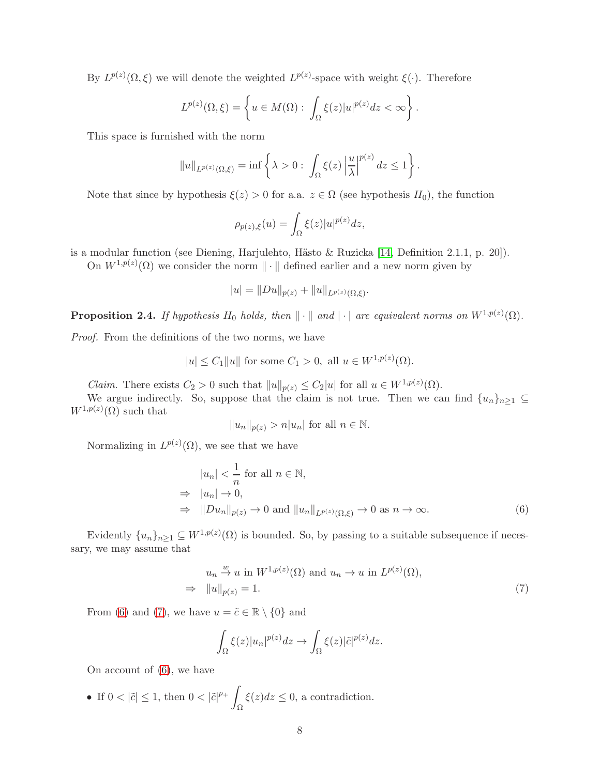By  $L^{p(z)}(\Omega,\xi)$  we will denote the weighted  $L^{p(z)}$ -space with weight  $\xi(\cdot)$ . Therefore

$$
L^{p(z)}(\Omega,\xi) = \left\{ u \in M(\Omega) : \int_{\Omega} \xi(z) |u|^{p(z)} dz < \infty \right\}.
$$

This space is furnished with the norm

$$
||u||_{L^{p(z)}(\Omega,\xi)} = \inf \left\{ \lambda > 0 : \int_{\Omega} \xi(z) \left| \frac{u}{\lambda} \right|^{p(z)} dz \le 1 \right\}.
$$

Note that since by hypothesis  $\xi(z) > 0$  for a.a.  $z \in \Omega$  (see hypothesis  $H_0$ ), the function

$$
\rho_{p(z),\xi}(u) = \int_{\Omega} \xi(z)|u|^{p(z)}dz,
$$

is a modular function (see Diening, Harjulehto, Hästo & Ruzicka [\[14,](#page-25-15) Definition 2.1.1, p. 20]).

On  $W^{1,p(z)}(\Omega)$  we consider the norm  $\|\cdot\|$  defined earlier and a new norm given by

$$
|u| = ||Du||_{p(z)} + ||u||_{L^{p(z)}(\Omega,\xi)}.
$$

<span id="page-7-2"></span>**Proposition 2.4.** If hypothesis  $H_0$  holds, then  $\|\cdot\|$  and  $|\cdot|$  are equivalent norms on  $W^{1,p(z)}(\Omega)$ .

Proof. From the definitions of the two norms, we have

$$
|u| \leq C_1 ||u||
$$
 for some  $C_1 > 0$ , all  $u \in W^{1,p(z)}(\Omega)$ .

*Claim.* There exists  $C_2 > 0$  such that  $||u||_{p(z)} \leq C_2|u|$  for all  $u \in W^{1,p(z)}(\Omega)$ .

We argue indirectly. So, suppose that the claim is not true. Then we can find  $\{u_n\}_{n>1} \subseteq$  $W^{1,p(z)}(\Omega)$  such that

$$
||u_n||_{p(z)} > n|u_n|
$$
 for all  $n \in \mathbb{N}$ .

Normalizing in  $L^{p(z)}(\Omega)$ , we see that we have

<span id="page-7-0"></span>
$$
|u_n| < \frac{1}{n} \text{ for all } n \in \mathbb{N},
$$
\n
$$
\Rightarrow |u_n| \to 0,
$$
\n
$$
\Rightarrow \|Du_n\|_{p(z)} \to 0 \text{ and } \|u_n\|_{L^{p(z)}(\Omega,\xi)} \to 0 \text{ as } n \to \infty. \tag{6}
$$

Evidently  $\{u_n\}_{n\geq 1} \subseteq W^{1,p(z)}(\Omega)$  is bounded. So, by passing to a suitable subsequence if necessary, we may assume that

<span id="page-7-1"></span>
$$
u_n \stackrel{w}{\to} u \text{ in } W^{1,p(z)}(\Omega) \text{ and } u_n \to u \text{ in } L^{p(z)}(\Omega),
$$
  

$$
\Rightarrow \|u\|_{p(z)} = 1.
$$
 (7)

From [\(6\)](#page-7-0) and [\(7\)](#page-7-1), we have  $u = \tilde{c} \in \mathbb{R} \setminus \{0\}$  and

$$
\int_{\Omega} \xi(z) |u_n|^{p(z)} dz \to \int_{\Omega} \xi(z) |\tilde{c}|^{p(z)} dz.
$$

On account of [\(6\)](#page-7-0), we have

• If  $0 < |\tilde{c}| \leq 1$ , then  $0 < |\tilde{c}|^{p_+}$ Ω  $\xi(z)dz \leq 0$ , a contradiction.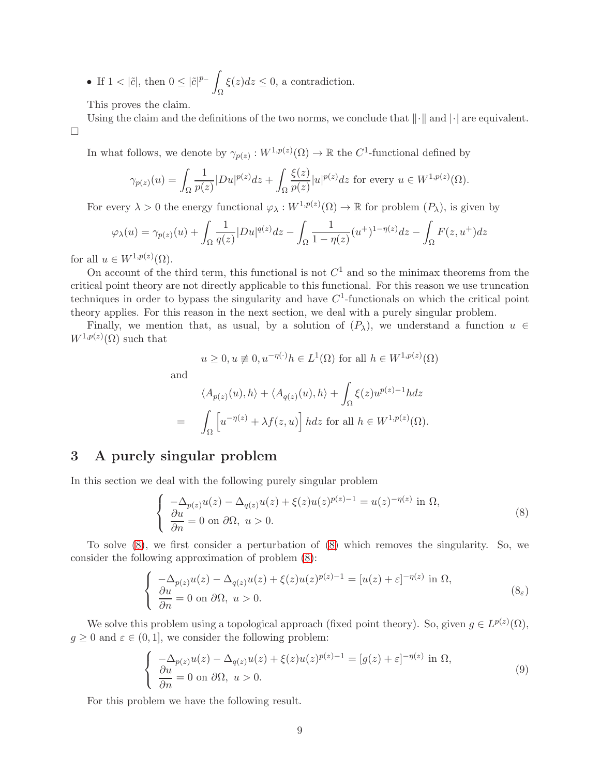• If  $1 < |\tilde{c}|$ , then  $0 \leq |\tilde{c}|^{p_-}$ Ω  $\xi(z)dz \leq 0$ , a contradiction.

This proves the claim.

Using the claim and the definitions of the two norms, we conclude that  $\lVert \cdot \rVert$  and  $\lVert \cdot \rVert$  are equivalent.  $\Box$ 

In what follows, we denote by  $\gamma_{p(z)} : W^{1,p(z)}(\Omega) \to \mathbb{R}$  the  $C^1$ -functional defined by

$$
\gamma_{p(z)}(u) = \int_{\Omega} \frac{1}{p(z)} |Du|^{p(z)} dz + \int_{\Omega} \frac{\xi(z)}{p(z)} |u|^{p(z)} dz \text{ for every } u \in W^{1,p(z)}(\Omega).
$$

For every  $\lambda > 0$  the energy functional  $\varphi_\lambda : W^{1,p(z)}(\Omega) \to \mathbb{R}$  for problem  $(P_\lambda)$ , is given by

$$
\varphi_{\lambda}(u) = \gamma_{p(z)}(u) + \int_{\Omega} \frac{1}{q(z)} |Du|^{q(z)} dz - \int_{\Omega} \frac{1}{1 - \eta(z)} (u^+)^{1 - \eta(z)} dz - \int_{\Omega} F(z, u^+) dz
$$

for all  $u \in W^{1,p(z)}(\Omega)$ .

On account of the third term, this functional is not  $C<sup>1</sup>$  and so the minimax theorems from the critical point theory are not directly applicable to this functional. For this reason we use truncation techniques in order to bypass the singularity and have  $C<sup>1</sup>$ -functionals on which the critical point theory applies. For this reason in the next section, we deal with a purely singular problem.

Finally, we mention that, as usual, by a solution of  $(P_\lambda)$ , we understand a function  $u \in$  $W^{1,p(z)}(\Omega)$  such that

$$
u \ge 0, u \ne 0, u^{-\eta(\cdot)}h \in L^1(\Omega)
$$
 for all  $h \in W^{1,p(z)}(\Omega)$ 

and

$$
\langle A_{p(z)}(u), h \rangle + \langle A_{q(z)}(u), h \rangle + \int_{\Omega} \xi(z) u^{p(z)-1} h dz
$$
  
= 
$$
\int_{\Omega} \left[ u^{-\eta(z)} + \lambda f(z, u) \right] h dz \text{ for all } h \in W^{1, p(z)}(\Omega).
$$

# 3 A purely singular problem

In this section we deal with the following purely singular problem

<span id="page-8-2"></span><span id="page-8-0"></span>
$$
\begin{cases}\n-\Delta_{p(z)}u(z) - \Delta_{q(z)}u(z) + \xi(z)u(z)^{p(z)-1} = u(z)^{-\eta(z)} \text{ in } \Omega, \\
\frac{\partial u}{\partial n} = 0 \text{ on } \partial\Omega, \ u > 0.\n\end{cases}
$$
\n(8)

To solve [\(8\)](#page-8-0), we first consider a perturbation of [\(8\)](#page-8-0) which removes the singularity. So, we consider the following approximation of problem [\(8\)](#page-8-0):

$$
\begin{cases}\n-\Delta_{p(z)}u(z) - \Delta_{q(z)}u(z) + \xi(z)u(z)^{p(z)-1} = [u(z) + \varepsilon]^{-\eta(z)} \text{ in } \Omega, \\
\frac{\partial u}{\partial n} = 0 \text{ on } \partial\Omega, \ u > 0.\n\end{cases} (8_{\varepsilon})
$$

We solve this problem using a topological approach (fixed point theory). So, given  $g \in L^{p(z)}(\Omega)$ ,  $g \geq 0$  and  $\varepsilon \in (0, 1]$ , we consider the following problem:

<span id="page-8-1"></span>
$$
\begin{cases}\n-\Delta_{p(z)}u(z) - \Delta_{q(z)}u(z) + \xi(z)u(z)^{p(z)-1} = [g(z) + \varepsilon]^{-\eta(z)} \text{ in } \Omega, \\
\frac{\partial u}{\partial n} = 0 \text{ on } \partial\Omega, \ u > 0.\n\end{cases}
$$
\n(9)

For this problem we have the following result.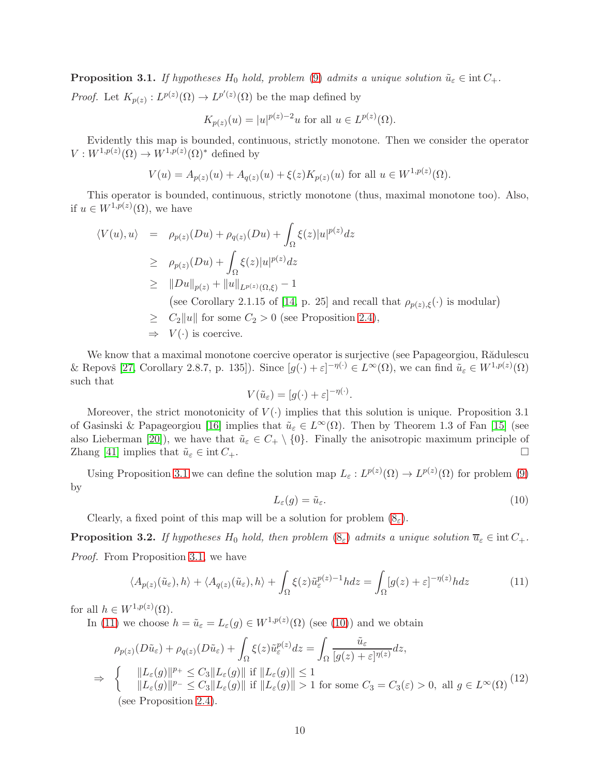<span id="page-9-0"></span>**Proposition 3.1.** If hypotheses  $H_0$  hold, problem [\(9\)](#page-8-1) admits a unique solution  $\tilde{u}_{\varepsilon} \in \text{int } C_+$ . *Proof.* Let  $K_{p(z)}: L^{p(z)}(\Omega) \to L^{p'(z)}(\Omega)$  be the map defined by

$$
K_{p(z)}(u) = |u|^{p(z)-2}u
$$
 for all  $u \in L^{p(z)}(\Omega)$ .

Evidently this map is bounded, continuous, strictly monotone. Then we consider the operator  $V: W^{1,p(z)}(\Omega) \to W^{1,p(z)}(\Omega)^*$  defined by

$$
V(u) = A_{p(z)}(u) + A_{q(z)}(u) + \xi(z)K_{p(z)}(u) \text{ for all } u \in W^{1,p(z)}(\Omega).
$$

This operator is bounded, continuous, strictly monotone (thus, maximal monotone too). Also, if  $u \in W^{1,p(z)}(\Omega)$ , we have

$$
\langle V(u), u \rangle = \rho_{p(z)}(Du) + \rho_{q(z)}(Du) + \int_{\Omega} \xi(z)|u|^{p(z)} dz
$$
  
\n
$$
\geq \rho_{p(z)}(Du) + \int_{\Omega} \xi(z)|u|^{p(z)} dz
$$
  
\n
$$
\geq ||Du||_{p(z)} + ||u||_{L^{p(z)}(\Omega, \xi)} - 1
$$
  
\n(see Corollary 2.1.15 of [14, p. 25] and recall that  $\rho_{p(z), \xi}(\cdot)$  is modular)  
\n
$$
\geq C_2 ||u||
$$
 for some  $C_2 > 0$  (see Proposition 2.4),  
\n
$$
\Rightarrow V(\cdot)
$$
 is coercive.

We know that a maximal monotone coercive operator is surjective (see Papageorgiou, Rădulescu & Repovš [\[27,](#page-26-17) Corollary 2.8.7, p. 135]). Since  $[g(\cdot)+\varepsilon]^{-\eta(\cdot)} \in L^{\infty}(\Omega)$ , we can find  $\tilde{u}_{\varepsilon} \in W^{1,p(z)}(\Omega)$ such that

$$
V(\tilde{u}_{\varepsilon}) = [g(\cdot) + \varepsilon]^{-\eta(\cdot)}.
$$

Moreover, the strict monotonicity of  $V(\cdot)$  implies that this solution is unique. Proposition 3.1 of Gasinski & Papageorgiou [\[16\]](#page-25-16) implies that  $\tilde{u}_{\varepsilon} \in L^{\infty}(\Omega)$ . Then by Theorem 1.3 of Fan [\[15\]](#page-25-17) (see also Lieberman [\[20\]](#page-26-18)), we have that  $\tilde{u}_{\varepsilon} \in C_+ \setminus \{0\}$ . Finally the anisotropic maximum principle of Zhang [\[41\]](#page-27-4) implies that  $\tilde{u}_{\varepsilon} \in \text{int } C_+$ .

Using Proposition [3.1](#page-9-0) we can define the solution map  $L_{\varepsilon}: L^{p(z)}(\Omega) \to L^{p(z)}(\Omega)$  for problem [\(9\)](#page-8-1) by

<span id="page-9-2"></span>
$$
L_{\varepsilon}(g) = \tilde{u}_{\varepsilon}.\tag{10}
$$

Clearly, a fixed point of this map will be a solution for problem  $(8<sub>\epsilon</sub>)$ .

<span id="page-9-4"></span>**Proposition 3.2.** If hypotheses H<sub>0</sub> hold, then problem  $(8_{\varepsilon})$  $(8_{\varepsilon})$  admits a unique solution  $\overline{u}_{\varepsilon} \in \text{int } C_+$ . Proof. From Proposition [3.1,](#page-9-0) we have

<span id="page-9-1"></span>
$$
\langle A_{p(z)}(\tilde{u}_{\varepsilon}), h \rangle + \langle A_{q(z)}(\tilde{u}_{\varepsilon}), h \rangle + \int_{\Omega} \xi(z) \tilde{u}_{\varepsilon}^{p(z)-1} h dz = \int_{\Omega} [g(z) + \varepsilon]^{-\eta(z)} h dz \tag{11}
$$

for all  $h \in W^{1,p(z)}(\Omega)$ .

In [\(11\)](#page-9-1) we choose  $h = \tilde{u}_{\varepsilon} = L_{\varepsilon}(g) \in W^{1,p(z)}(\Omega)$  (see [\(10\)](#page-9-2)) and we obtain

<span id="page-9-3"></span>
$$
\rho_{p(z)}(D\tilde{u}_{\varepsilon}) + \rho_{q(z)}(D\tilde{u}_{\varepsilon}) + \int_{\Omega} \xi(z)\tilde{u}_{\varepsilon}^{p(z)}dz = \int_{\Omega} \frac{\tilde{u}_{\varepsilon}}{[g(z) + \varepsilon]^{n(z)}}dz,
$$
  
\n
$$
\Rightarrow \left\{ \begin{array}{l} \|L_{\varepsilon}(g)\|^{p_{+}} \le C_{3} \|L_{\varepsilon}(g)\| \text{ if } \|L_{\varepsilon}(g)\| \le 1\\ \|L_{\varepsilon}(g)\|^{p_{-}} \le C_{3} \|L_{\varepsilon}(g)\| \text{ if } \|L_{\varepsilon}(g)\| > 1 \text{ for some } C_{3} = C_{3}(\varepsilon) > 0, \text{ all } g \in L^{\infty}(\Omega) \end{array} \right\} (12)
$$
  
\n(see Proposition 2.4).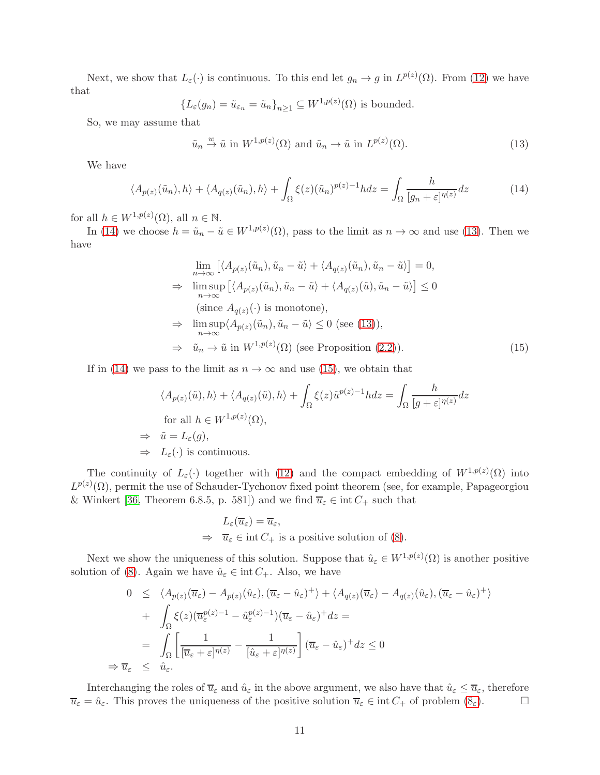Next, we show that  $L_{\varepsilon}(\cdot)$  is continuous. To this end let  $g_n \to g$  in  $L^{p(z)}(\Omega)$ . From [\(12\)](#page-9-3) we have that

$$
{L_{\varepsilon}(g_n) = \tilde{u}_{\varepsilon_n} = \tilde{u}_n}_{n \ge 1} \subseteq W^{1,p(z)}(\Omega)
$$
 is bounded.

So, we may assume that

<span id="page-10-1"></span>
$$
\tilde{u}_n \stackrel{w}{\to} \tilde{u}
$$
 in  $W^{1,p(z)}(\Omega)$  and  $\tilde{u}_n \to \tilde{u}$  in  $L^{p(z)}(\Omega)$ . (13)

We have

 $\Rightarrow$ 

<span id="page-10-0"></span>
$$
\langle A_{p(z)}(\tilde{u}_n), h \rangle + \langle A_{q(z)}(\tilde{u}_n), h \rangle + \int_{\Omega} \xi(z) (\tilde{u}_n)^{p(z)-1} h dz = \int_{\Omega} \frac{h}{[g_n + \varepsilon]^{q(z)}} dz \tag{14}
$$

for all  $h \in W^{1,p(z)}(\Omega)$ , all  $n \in \mathbb{N}$ .

In [\(14\)](#page-10-0) we choose  $h = \tilde{u}_n - \tilde{u} \in W^{1,p(z)}(\Omega)$ , pass to the limit as  $n \to \infty$  and use [\(13\)](#page-10-1). Then we have

<span id="page-10-2"></span>
$$
\lim_{n \to \infty} \left[ \langle A_{p(z)}(\tilde{u}_n), \tilde{u}_n - \tilde{u} \rangle + \langle A_{q(z)}(\tilde{u}_n), \tilde{u}_n - \tilde{u} \rangle \right] = 0,
$$
\n
$$
\Rightarrow \limsup_{n \to \infty} \left[ \langle A_{p(z)}(\tilde{u}_n), \tilde{u}_n - \tilde{u} \rangle + \langle A_{q(z)}(\tilde{u}), \tilde{u}_n - \tilde{u} \rangle \right] \le 0
$$
\n(since  $A_{q(z)}(\cdot)$  is monotone),\n
$$
\Rightarrow \limsup_{n \to \infty} \langle A_{p(z)}(\tilde{u}_n), \tilde{u}_n - \tilde{u} \rangle \le 0 \text{ (see (13)),}
$$
\n
$$
\Rightarrow \tilde{u}_n \to \tilde{u} \text{ in } W^{1,p(z)}(\Omega) \text{ (see Proposition (2.2)).} \tag{15}
$$

If in [\(14\)](#page-10-0) we pass to the limit as  $n \to \infty$  and use [\(15\)](#page-10-2), we obtain that

$$
\langle A_{p(z)}(\tilde{u}), h \rangle + \langle A_{q(z)}(\tilde{u}), h \rangle + \int_{\Omega} \xi(z) \tilde{u}^{p(z)-1} h dz = \int_{\Omega} \frac{h}{[g+\varepsilon]^{n(z)}} dz
$$
  
for all  $h \in W^{1,p(z)}(\Omega)$ ,  
 $\Rightarrow \tilde{u} = L_{\varepsilon}(g)$ ,  
 $\Rightarrow L_{\varepsilon}(\cdot)$  is continuous.

The continuity of  $L_{\varepsilon}(\cdot)$  together with [\(12\)](#page-9-3) and the compact embedding of  $W^{1,p(z)}(\Omega)$  into  $L^{p(z)}(\Omega)$ , permit the use of Schauder-Tychonov fixed point theorem (see, for example, Papageorgiou & Winkert [\[36,](#page-26-19) Theorem 6.8.5, p. 581]) and we find  $\overline{u}_{\varepsilon} \in \text{int } C_+$  such that

$$
L_{\varepsilon}(\overline{u}_{\varepsilon}) = \overline{u}_{\varepsilon},
$$
  
\n
$$
\Rightarrow \overline{u}_{\varepsilon} \in \text{int } C_+ \text{ is a positive solution of (8).}
$$

Next we show the uniqueness of this solution. Suppose that  $\hat{u}_{\varepsilon} \in W^{1,p(z)}(\Omega)$  is another positive solution of [\(8\)](#page-8-0). Again we have  $\hat{u}_{\varepsilon} \in \text{int } C_+$ . Also, we have

$$
0 \leq \langle A_{p(z)}(\overline{u}_{\varepsilon}) - A_{p(z)}(\hat{u}_{\varepsilon}), (\overline{u}_{\varepsilon} - \hat{u}_{\varepsilon})^{+} \rangle + \langle A_{q(z)}(\overline{u}_{\varepsilon}) - A_{q(z)}(\hat{u}_{\varepsilon}), (\overline{u}_{\varepsilon} - \hat{u}_{\varepsilon})^{+} \rangle
$$
  
+ 
$$
\int_{\Omega} \xi(z) (\overline{u}_{\varepsilon}^{p(z)-1} - \hat{u}_{\varepsilon}^{p(z)-1}) (\overline{u}_{\varepsilon} - \hat{u}_{\varepsilon})^{+} dz =
$$
  
= 
$$
\int_{\Omega} \left[ \frac{1}{[\overline{u}_{\varepsilon} + \varepsilon]^{\eta(z)}} - \frac{1}{[\hat{u}_{\varepsilon} + \varepsilon]^{\eta(z)}} \right] (\overline{u}_{\varepsilon} - \hat{u}_{\varepsilon})^{+} dz \leq 0
$$
  

$$
\overline{u}_{\varepsilon} \leq \hat{u}_{\varepsilon}.
$$

Interchanging the roles of  $\overline{u}_{\varepsilon}$  and  $\hat{u}_{\varepsilon}$  in the above argument, we also have that  $\hat{u}_{\varepsilon} \leq \overline{u}_{\varepsilon}$ , therefore  $\overline{u}_{\varepsilon} = \hat{u}_{\varepsilon}$ . This proves the uniqueness of the positive solution  $\overline{u}_{\varepsilon} \in \text{int } C_+$  of problem  $(8_{\varepsilon})$ .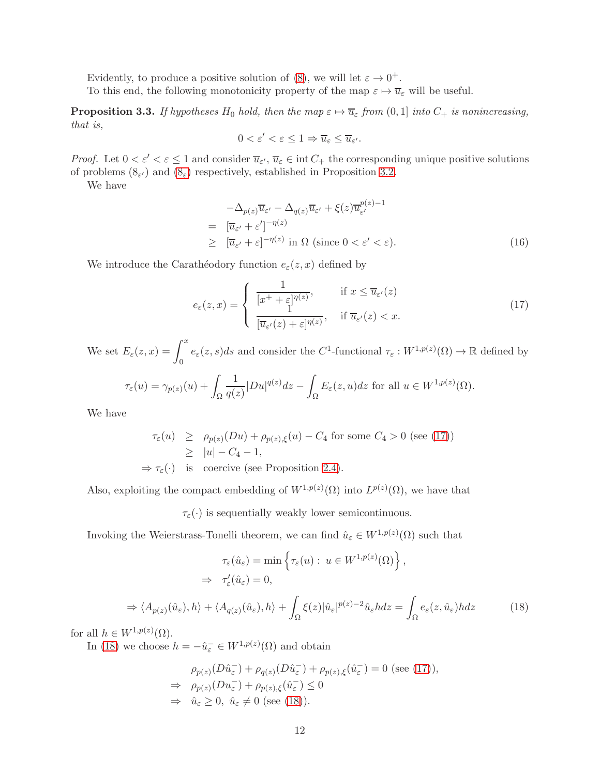Evidently, to produce a positive solution of [\(8\)](#page-8-0), we will let  $\varepsilon \to 0^+$ .

To this end, the following monotonicity property of the map  $\varepsilon \mapsto \overline{u}_{\varepsilon}$  will be useful.

<span id="page-11-2"></span>**Proposition 3.3.** If hypotheses  $H_0$  hold, then the map  $\varepsilon \mapsto \overline{u}_{\varepsilon}$  from  $(0, 1]$  into  $C_+$  is nonincreasing, that is,

$$
0 < \varepsilon' < \varepsilon \leq 1 \Rightarrow \overline{u}_{\varepsilon} \leq \overline{u}_{\varepsilon'}.
$$

*Proof.* Let  $0 < \varepsilon' < \varepsilon \leq 1$  and consider  $\overline{u}_{\varepsilon'}$ ,  $\overline{u}_{\varepsilon} \in \text{int } C_+$  the corresponding unique positive solutions of problems  $(8_{\varepsilon})$  and  $(8_{\varepsilon})$  respectively, established in Proposition [3.2.](#page-9-4)

We have

$$
-\Delta_{p(z)}\overline{u}_{\varepsilon'} - \Delta_{q(z)}\overline{u}_{\varepsilon'} + \xi(z)\overline{u}_{\varepsilon'}^{p(z)-1}
$$
  
= 
$$
[\overline{u}_{\varepsilon'} + \varepsilon']^{-\eta(z)}
$$
  

$$
\geq [\overline{u}_{\varepsilon'} + \varepsilon]^{-\eta(z)} \text{ in } \Omega \text{ (since } 0 < \varepsilon' < \varepsilon).
$$
 (16)

We introduce the Carathéodory function  $e_{\varepsilon}(z, x)$  defined by

<span id="page-11-0"></span>
$$
e_{\varepsilon}(z,x) = \begin{cases} \frac{1}{[x^+ + \varepsilon]^{\eta(z)}}, & \text{if } x \le \overline{u}_{\varepsilon'}(z) \\ \frac{1}{[\overline{u}_{\varepsilon'}(z) + \varepsilon]^{\eta(z)}}, & \text{if } \overline{u}_{\varepsilon'}(z) < x. \end{cases}
$$
(17)

We set  $E_{\varepsilon}(z, x) = \int_0^x$ 0  $e_{\varepsilon}(z, s)ds$  and consider the C<sup>1</sup>-functional  $\tau_{\varepsilon}: W^{1,p(z)}(\Omega) \to \mathbb{R}$  defined by

$$
\tau_{\varepsilon}(u) = \gamma_{p(z)}(u) + \int_{\Omega} \frac{1}{q(z)} |Du|^{q(z)} dz - \int_{\Omega} E_{\varepsilon}(z, u) dz \text{ for all } u \in W^{1, p(z)}(\Omega).
$$

We have

$$
\tau_{\varepsilon}(u) \ge \rho_{p(z)}(Du) + \rho_{p(z),\xi}(u) - C_4 \text{ for some } C_4 > 0 \text{ (see (17))}
$$
  
\n
$$
\ge |u| - C_4 - 1,
$$
  
\n
$$
\Rightarrow \tau_{\varepsilon}(\cdot) \text{ is coercive (see Proposition 2.4).}
$$

Also, exploiting the compact embedding of  $W^{1,p(z)}(\Omega)$  into  $L^{p(z)}(\Omega)$ , we have that

 $\tau_{\varepsilon}(\cdot)$  is sequentially weakly lower semicontinuous.

Invoking the Weierstrass-Tonelli theorem, we can find  $\hat{u}_{\varepsilon} \in W^{1,p(z)}(\Omega)$  such that

<span id="page-11-1"></span>
$$
\tau_{\varepsilon}(\hat{u}_{\varepsilon}) = \min \left\{ \tau_{\varepsilon}(u) : u \in W^{1, p(z)}(\Omega) \right\},
$$
  
\n
$$
\Rightarrow \tau'_{\varepsilon}(\hat{u}_{\varepsilon}) = 0,
$$
  
\n
$$
\Rightarrow \langle A_{p(z)}(\hat{u}_{\varepsilon}), h \rangle + \langle A_{q(z)}(\hat{u}_{\varepsilon}), h \rangle + \int_{\Omega} \xi(z) |\hat{u}_{\varepsilon}|^{p(z)-2} \hat{u}_{\varepsilon} h dz = \int_{\Omega} e_{\varepsilon}(z, \hat{u}_{\varepsilon}) h dz
$$
 (18)

for all  $h \in W^{1,p(z)}(\Omega)$ .

In [\(18\)](#page-11-1) we choose  $h = -\hat{u}_{\varepsilon}^- \in W^{1,p(z)}(\Omega)$  and obtain

$$
\rho_{p(z)}(D\hat{u}_{\varepsilon}^{-}) + \rho_{q(z)}(D\hat{u}_{\varepsilon}^{-}) + \rho_{p(z),\xi}(\hat{u}_{\varepsilon}^{-}) = 0 \text{ (see (17))},
$$
  
\n
$$
\Rightarrow \rho_{p(z)}(Du_{\varepsilon}^{-}) + \rho_{p(z),\xi}(\hat{u}_{\varepsilon}^{-}) \leq 0
$$
  
\n
$$
\Rightarrow \hat{u}_{\varepsilon} \geq 0, \ \hat{u}_{\varepsilon} \neq 0 \text{ (see (18))}.
$$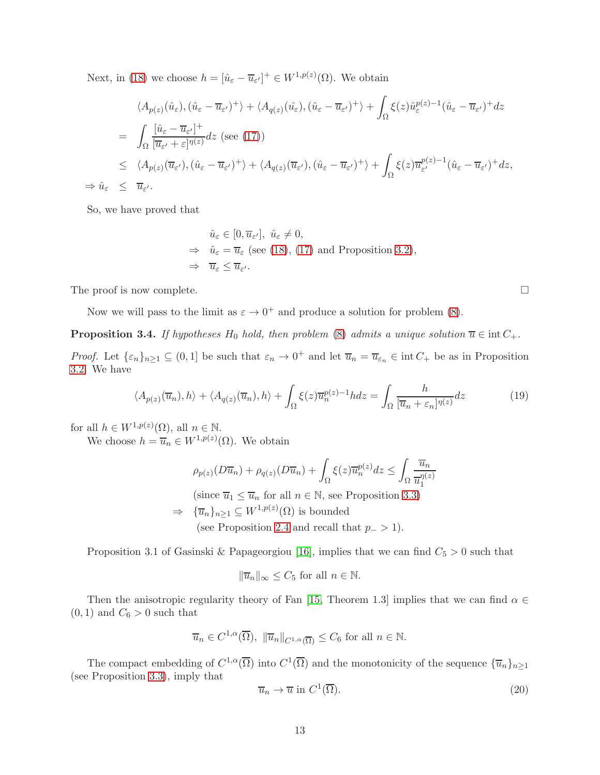Next, in [\(18\)](#page-11-1) we choose  $h = [\hat{u}_{\varepsilon} - \overline{u}_{\varepsilon'}]^+ \in W^{1,p(z)}(\Omega)$ . We obtain

$$
\langle A_{p(z)}(\hat{u}_{\varepsilon}), (\hat{u}_{\varepsilon} - \overline{u}_{\varepsilon'})^{+} \rangle + \langle A_{q(z)}(\hat{u}_{\varepsilon}), (\hat{u}_{\varepsilon} - \overline{u}_{\varepsilon'})^{+} \rangle + \int_{\Omega} \xi(z) \hat{u}_{\varepsilon}^{p(z)-1} (\hat{u}_{\varepsilon} - \overline{u}_{\varepsilon'})^{+} dz
$$
  
\n
$$
= \int_{\Omega} \frac{[\hat{u}_{\varepsilon} - \overline{u}_{\varepsilon'}]^{+}}{[\overline{u}_{\varepsilon'} + \varepsilon]^{\eta(z)}} dz \text{ (see (17))}
$$
  
\n
$$
\leq \langle A_{p(z)}(\overline{u}_{\varepsilon'}), (\hat{u}_{\varepsilon} - \overline{u}_{\varepsilon'})^{+} \rangle + \langle A_{q(z)}(\overline{u}_{\varepsilon'}), (\hat{u}_{\varepsilon} - \overline{u}_{\varepsilon'})^{+} \rangle + \int_{\Omega} \xi(z) \overline{u}_{\varepsilon'}^{p(z)-1} (\hat{u}_{\varepsilon} - \overline{u}_{\varepsilon'})^{+} dz,
$$
  
\n
$$
\Rightarrow \hat{u}_{\varepsilon} \leq \overline{u}_{\varepsilon'}.
$$

So, we have proved that

$$
\hat{u}_{\varepsilon} \in [0, \overline{u}_{\varepsilon'}], \ \hat{u}_{\varepsilon} \neq 0,
$$
\n
$$
\Rightarrow \ \hat{u}_{\varepsilon} = \overline{u}_{\varepsilon} \ (\text{see (18)}, (17) \ \text{and Proposition 3.2}),
$$
\n
$$
\Rightarrow \ \overline{u}_{\varepsilon} \leq \overline{u}_{\varepsilon'}.
$$

The proof is now complete.  $\Box$ 

Now we will pass to the limit as  $\varepsilon \to 0^+$  and produce a solution for problem [\(8\)](#page-8-0).

<span id="page-12-2"></span>**Proposition 3.4.** If hypotheses  $H_0$  hold, then problem [\(8\)](#page-8-0) admits a unique solution  $\overline{u} \in \text{int } C_+$ .

*Proof.* Let  $\{\varepsilon_n\}_{n\geq 1} \subseteq (0,1]$  be such that  $\varepsilon_n \to 0^+$  and let  $\overline{u}_n = \overline{u}_{\varepsilon_n} \in \text{int } C_+$  be as in Proposition [3.2.](#page-9-4) We have

<span id="page-12-0"></span>
$$
\langle A_{p(z)}(\overline{u}_n), h \rangle + \langle A_{q(z)}(\overline{u}_n), h \rangle + \int_{\Omega} \xi(z) \overline{u}_n^{p(z)-1} h dz = \int_{\Omega} \frac{h}{[\overline{u}_n + \varepsilon_n]^{p(z)}} dz \tag{19}
$$

for all  $h \in W^{1,p(z)}(\Omega)$ , all  $n \in \mathbb{N}$ .

We choose  $h = \overline{u}_n \in W^{1,p(z)}(\Omega)$ . We obtain

$$
\rho_{p(z)}(D\overline{u}_n) + \rho_{q(z)}(D\overline{u}_n) + \int_{\Omega} \xi(z)\overline{u}_n^{p(z)}dz \le \int_{\Omega} \frac{\overline{u}_n}{\overline{u}_1^{n(z)}}
$$

(since  $\overline{u}_1 \leq \overline{u}_n$  for all  $n \in \mathbb{N}$ , see Proposition [3.3\)](#page-11-2)

 $\Rightarrow \{\overline{u}_n\}_{n\geq 1} \subseteq W^{1,p(z)}(\Omega)$  is bounded

(see Proposition [2.4](#page-7-2) and recall that  $p_->1$ ).

Proposition 3.1 of Gasinski & Papageorgiou [\[16\]](#page-25-16), implies that we can find  $C_5 > 0$  such that

$$
\|\overline{u}_n\|_{\infty} \le C_5 \text{ for all } n \in \mathbb{N}.
$$

Then the anisotropic regularity theory of Fan [\[15,](#page-25-17) Theorem 1.3] implies that we can find  $\alpha \in$  $(0, 1)$  and  $C_6 > 0$  such that

$$
\overline{u}_n \in C^{1,\alpha}(\overline{\Omega}), \ \|\overline{u}_n\|_{C^{1,\alpha}(\overline{\Omega})} \leq C_6 \text{ for all } n \in \mathbb{N}.
$$

The compact embedding of  $C^{1,\alpha}(\overline{\Omega})$  into  $C^1(\overline{\Omega})$  and the monotonicity of the sequence  $\{\overline{u}_n\}_{n\geq 1}$ (see Proposition [3.3\)](#page-11-2), imply that

<span id="page-12-1"></span>
$$
\overline{u}_n \to \overline{u} \text{ in } C^1(\overline{\Omega}).\tag{20}
$$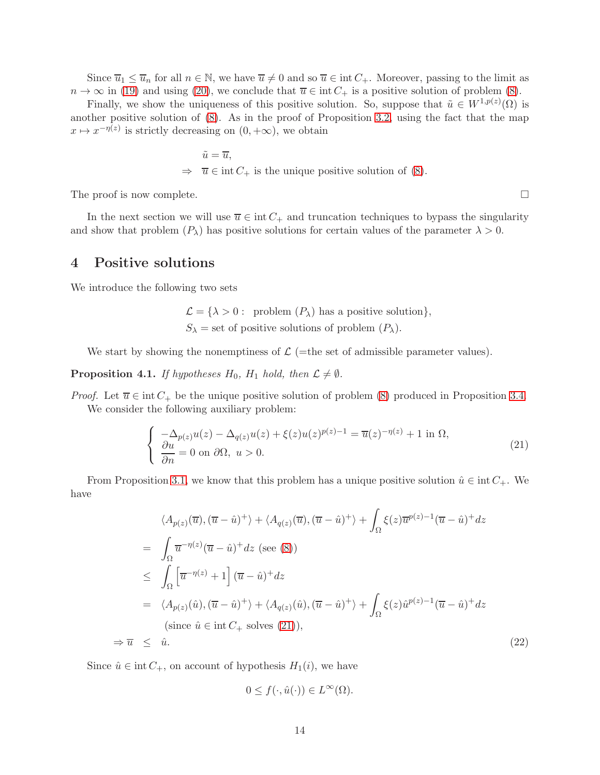Since  $\overline{u}_1 \leq \overline{u}_n$  for all  $n \in \mathbb{N}$ , we have  $\overline{u} \neq 0$  and so  $\overline{u} \in \text{int } C_+$ . Moreover, passing to the limit as  $n \to \infty$  in [\(19\)](#page-12-0) and using [\(20\)](#page-12-1), we conclude that  $\overline{u} \in \text{int } C_+$  is a positive solution of problem [\(8\)](#page-8-0).

Finally, we show the uniqueness of this positive solution. So, suppose that  $\tilde{u} \in W^{1,p(z)}(\Omega)$  is another positive solution of [\(8\)](#page-8-0). As in the proof of Proposition [3.2,](#page-9-4) using the fact that the map  $x \mapsto x^{-\eta(z)}$  is strictly decreasing on  $(0, +\infty)$ , we obtain

$$
\tilde{u} = \overline{u},
$$
  
\n
$$
\Rightarrow \quad \overline{u} \in \text{int } C_+ \text{ is the unique positive solution of (8)}.
$$

The proof is now complete.

In the next section we will use  $\overline{u} \in \text{int } C_+$  and truncation techniques to bypass the singularity and show that problem  $(P_\lambda)$  has positive solutions for certain values of the parameter  $\lambda > 0$ .

## 4 Positive solutions

We introduce the following two sets

$$
\mathcal{L} = \{ \lambda > 0 : \text{ problem } (P_{\lambda}) \text{ has a positive solution} \},
$$
  

$$
S_{\lambda} = \text{set of positive solutions of problem } (P_{\lambda}).
$$

We start by showing the nonemptiness of  $\mathcal{L}$  (=the set of admissible parameter values).

<span id="page-13-2"></span>**Proposition 4.1.** If hypotheses  $H_0$ ,  $H_1$  hold, then  $\mathcal{L} \neq \emptyset$ .

*Proof.* Let  $\overline{u} \in \text{int } C_+$  be the unique positive solution of problem [\(8\)](#page-8-0) produced in Proposition [3.4.](#page-12-2) We consider the following auxiliary problem:

<span id="page-13-0"></span>
$$
\begin{cases}\n-\Delta_{p(z)}u(z) - \Delta_{q(z)}u(z) + \xi(z)u(z)^{p(z)-1} = \overline{u}(z)^{-\eta(z)} + 1 \text{ in } \Omega, \\
\frac{\partial u}{\partial n} = 0 \text{ on } \partial\Omega, \ u > 0.\n\end{cases} (21)
$$

From Proposition [3.1,](#page-9-0) we know that this problem has a unique positive solution  $\hat{u} \in \text{int } C_+$ . We have

<span id="page-13-1"></span>
$$
\langle A_{p(z)}(\overline{u}), (\overline{u} - \hat{u})^{+} \rangle + \langle A_{q(z)}(\overline{u}), (\overline{u} - \hat{u})^{+} \rangle + \int_{\Omega} \xi(z) \overline{u}^{p(z)-1} (\overline{u} - \hat{u})^{+} dz
$$
  
\n
$$
= \int_{\Omega} \overline{u}^{-\eta(z)} (\overline{u} - \hat{u})^{+} dz \text{ (see (8))}
$$
  
\n
$$
\leq \int_{\Omega} \left[ \overline{u}^{-\eta(z)} + 1 \right] (\overline{u} - \hat{u})^{+} dz
$$
  
\n
$$
= \langle A_{p(z)}(\hat{u}), (\overline{u} - \hat{u})^{+} \rangle + \langle A_{q(z)}(\hat{u}), (\overline{u} - \hat{u})^{+} \rangle + \int_{\Omega} \xi(z) \hat{u}^{p(z)-1} (\overline{u} - \hat{u})^{+} dz
$$
  
\n(since  $\hat{u} \in \text{int } C_{+}$  solves (21)),  
\n
$$
\Rightarrow \overline{u} \leq \hat{u}. \tag{22}
$$

Since  $\hat{u} \in \text{int } C_+$ , on account of hypothesis  $H_1(i)$ , we have

$$
0 \le f(\cdot, \hat{u}(\cdot)) \in L^{\infty}(\Omega).
$$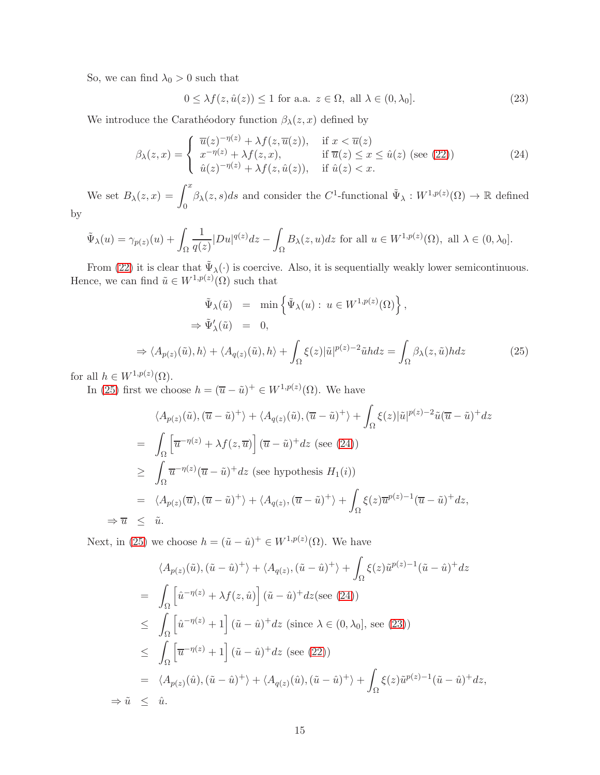So, we can find  $\lambda_0 > 0$  such that

<span id="page-14-2"></span> $0 \leq \lambda f(z, \hat{u}(z)) \leq 1$  for a.a.  $z \in \Omega$ , all  $\lambda \in (0, \lambda_0]$ . (23)

We introduce the Carathéodory function  $\beta_{\lambda}(z, x)$  defined by

<span id="page-14-1"></span>
$$
\beta_{\lambda}(z,x) = \begin{cases}\n\overline{u}(z)^{-\eta(z)} + \lambda f(z, \overline{u}(z)), & \text{if } x < \overline{u}(z) \\
x^{-\eta(z)} + \lambda f(z, x), & \text{if } \overline{u}(z) \le x \le \hat{u}(z) \text{ (see (22))} \\
\hat{u}(z)^{-\eta(z)} + \lambda f(z, \hat{u}(z)), & \text{if } \hat{u}(z) < x.\n\end{cases}
$$
\n(24)

We set  $B_{\lambda}(z, x) = \int_0^x$  $\theta$  $\beta_{\lambda}(z,s)ds$  and consider the C<sup>1</sup>-functional  $\tilde{\Psi}_{\lambda}: W^{1,p(z)}(\Omega) \to \mathbb{R}$  defined by

$$
\tilde{\Psi}_{\lambda}(u) = \gamma_{p(z)}(u) + \int_{\Omega} \frac{1}{q(z)} |Du|^{q(z)} dz - \int_{\Omega} B_{\lambda}(z, u) dz \text{ for all } u \in W^{1, p(z)}(\Omega), \text{ all } \lambda \in (0, \lambda_0].
$$

From [\(22\)](#page-13-1) it is clear that  $\tilde{\Psi}_{\lambda}(\cdot)$  is coercive. Also, it is sequentially weakly lower semicontinuous. Hence, we can find  $\tilde{u} \in W^{1,p(z)}(\Omega)$  such that

<span id="page-14-0"></span>
$$
\tilde{\Psi}_{\lambda}(\tilde{u}) = \min \left\{ \tilde{\Psi}_{\lambda}(u) : u \in W^{1,p(z)}(\Omega) \right\},
$$
\n
$$
\Rightarrow \tilde{\Psi}'_{\lambda}(\tilde{u}) = 0,
$$
\n
$$
\Rightarrow \langle A_{p(z)}(\tilde{u}), h \rangle + \langle A_{q(z)}(\tilde{u}), h \rangle + \int_{\Omega} \xi(z) |\tilde{u}|^{p(z)-2} \tilde{u} h dz = \int_{\Omega} \beta_{\lambda}(z, \tilde{u}) h dz \tag{25}
$$

for all  $h \in W^{1,p(z)}(\Omega)$ .

In [\(25\)](#page-14-0) first we choose  $h = (\overline{u} - \tilde{u})^+ \in W^{1,p(z)}(\Omega)$ . We have

$$
\langle A_{p(z)}(\tilde{u}), (\overline{u} - \tilde{u})^{+} \rangle + \langle A_{q(z)}(\tilde{u}), (\overline{u} - \tilde{u})^{+} \rangle + \int_{\Omega} \xi(z) |\tilde{u}|^{p(z)-2} \tilde{u}(\overline{u} - \tilde{u})^{+} dz
$$
  
\n
$$
= \int_{\Omega} \left[ \overline{u}^{-\eta(z)} + \lambda f(z, \overline{u}) \right] (\overline{u} - \tilde{u})^{+} dz \text{ (see (24))}
$$
  
\n
$$
\geq \int_{\Omega} \overline{u}^{-\eta(z)} (\overline{u} - \tilde{u})^{+} dz \text{ (see hypothesis } H_{1}(i))
$$
  
\n
$$
= \langle A_{p(z)}(\overline{u}), (\overline{u} - \tilde{u})^{+} \rangle + \langle A_{q(z)}, (\overline{u} - \tilde{u})^{+} \rangle + \int_{\Omega} \xi(z) \overline{u}^{p(z)-1} (\overline{u} - \tilde{u})^{+} dz,
$$
  
\n
$$
\Rightarrow \overline{u} \leq \tilde{u}.
$$

Next, in [\(25\)](#page-14-0) we choose  $h = (\tilde{u} - \hat{u})^+ \in W^{1,p(z)}(\Omega)$ . We have

$$
\langle A_{p(z)}(\tilde{u}), (\tilde{u} - \hat{u})^{+} \rangle + \langle A_{q(z)}, (\tilde{u} - \hat{u})^{+} \rangle + \int_{\Omega} \xi(z) \tilde{u}^{p(z)-1} (\tilde{u} - \hat{u})^{+} dz
$$
  
\n
$$
= \int_{\Omega} \left[ \tilde{u}^{-\eta(z)} + \lambda f(z, \hat{u}) \right] (\tilde{u} - \hat{u})^{+} dz \text{ (see (24))}
$$
  
\n
$$
\leq \int_{\Omega} \left[ \tilde{u}^{-\eta(z)} + 1 \right] (\tilde{u} - \hat{u})^{+} dz \text{ (since } \lambda \in (0, \lambda_{0}], \text{ see (23))}
$$
  
\n
$$
\leq \int_{\Omega} \left[ \overline{u}^{-\eta(z)} + 1 \right] (\tilde{u} - \hat{u})^{+} dz \text{ (see (22))}
$$
  
\n
$$
= \langle A_{p(z)}(\hat{u}), (\tilde{u} - \hat{u})^{+} \rangle + \langle A_{q(z)}(\hat{u}), (\tilde{u} - \hat{u})^{+} \rangle + \int_{\Omega} \xi(z) \tilde{u}^{p(z)-1} (\tilde{u} - \hat{u})^{+} dz,
$$
  
\n
$$
\Rightarrow \tilde{u} \leq \hat{u}.
$$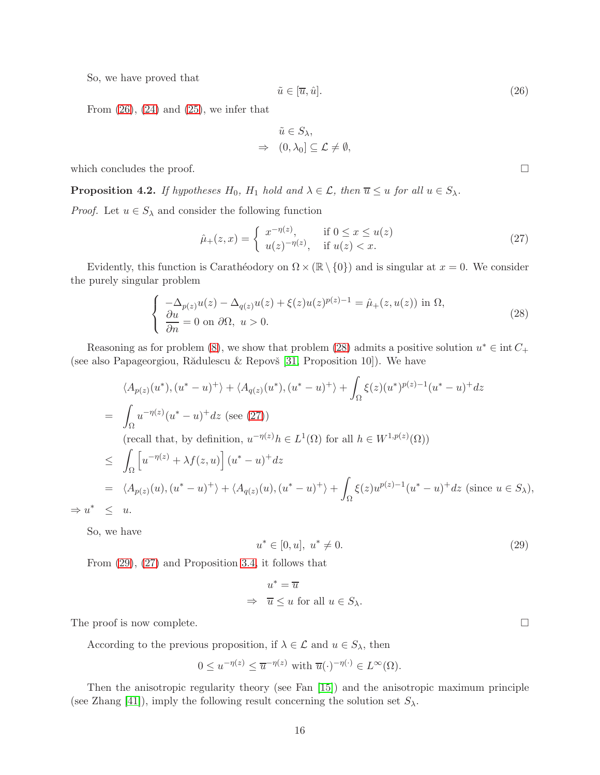So, we have proved that

<span id="page-15-0"></span>
$$
\tilde{u} \in [\overline{u}, \hat{u}].\tag{26}
$$

From  $(26)$ ,  $(24)$  and  $(25)$ , we infer that

$$
\tilde{u} \in S_{\lambda},
$$
  
\n
$$
\Rightarrow (0, \lambda_0] \subseteq \mathcal{L} \neq \emptyset,
$$

which concludes the proof.  $\Box$ 

<span id="page-15-4"></span>**Proposition 4.2.** If hypotheses  $H_0$ ,  $H_1$  hold and  $\lambda \in \mathcal{L}$ , then  $\overline{u} \leq u$  for all  $u \in S_{\lambda}$ .

*Proof.* Let  $u \in S_\lambda$  and consider the following function

<span id="page-15-2"></span>
$$
\hat{\mu}_+(z,x) = \begin{cases}\nx^{-\eta(z)}, & \text{if } 0 \le x \le u(z) \\
u(z)^{-\eta(z)}, & \text{if } u(z) < x.\n\end{cases}
$$
\n(27)

Evidently, this function is Carathéodory on  $\Omega \times (\mathbb{R} \setminus \{0\})$  and is singular at  $x = 0$ . We consider the purely singular problem

<span id="page-15-1"></span>
$$
\begin{cases}\n-\Delta_{p(z)}u(z) - \Delta_{q(z)}u(z) + \xi(z)u(z)^{p(z)-1} = \hat{\mu}_+(z, u(z)) \text{ in } \Omega, \\
\frac{\partial u}{\partial n} = 0 \text{ on } \partial\Omega, \ u > 0.\n\end{cases}
$$
\n(28)

Reasoning as for problem [\(8\)](#page-8-0), we show that problem [\(28\)](#page-15-1) admits a positive solution  $u^* \in \text{int } C_+$ (see also Papageorgiou, Rădulescu & Repovš  $[31,$  Proposition 10]). We have

$$
\langle A_{p(z)}(u^*), (u^* - u)^+ \rangle + \langle A_{q(z)}(u^*), (u^* - u)^+ \rangle + \int_{\Omega} \xi(z)(u^*)^{p(z)-1} (u^* - u)^+ dz
$$
  
\n
$$
= \int_{\Omega} u^{-\eta(z)} (u^* - u)^+ dz \text{ (see (27))}
$$
  
\n
$$
\text{(recall that, by definition, } u^{-\eta(z)} h \in L^1(\Omega) \text{ for all } h \in W^{1,p(z)}(\Omega) \text{)}
$$
  
\n
$$
\leq \int_{\Omega} \left[ u^{-\eta(z)} + \lambda f(z, u) \right] (u^* - u)^+ dz
$$
  
\n
$$
= \langle A_{p(z)}(u), (u^* - u)^+ \rangle + \langle A_{q(z)}(u), (u^* - u)^+ \rangle + \int_{\Omega} \xi(z) u^{p(z)-1} (u^* - u)^+ dz \text{ (since } u \in S_{\lambda} \text{),}
$$
  
\n
$$
\Rightarrow u^* \leq u.
$$

So, we have

<span id="page-15-3"></span>
$$
u^* \in [0, u], \ u^* \neq 0. \tag{29}
$$

From [\(29\)](#page-15-3), [\(27\)](#page-15-2) and Proposition [3.4,](#page-12-2) it follows that

$$
u^* = \overline{u}
$$
  
\n
$$
\Rightarrow \quad \overline{u} \le u \text{ for all } u \in S_\lambda.
$$

The proof is now complete.  $\Box$ 

According to the previous proposition, if  $\lambda \in \mathcal{L}$  and  $u \in S_{\lambda}$ , then

$$
0 \le u^{-\eta(z)} \le \overline{u}^{-\eta(z)} \text{ with } \overline{u}(\cdot)^{-\eta(\cdot)} \in L^{\infty}(\Omega).
$$

Then the anisotropic regularity theory (see Fan [\[15\]](#page-25-17)) and the anisotropic maximum principle (see Zhang [\[41\]](#page-27-4)), imply the following result concerning the solution set  $S_{\lambda}$ .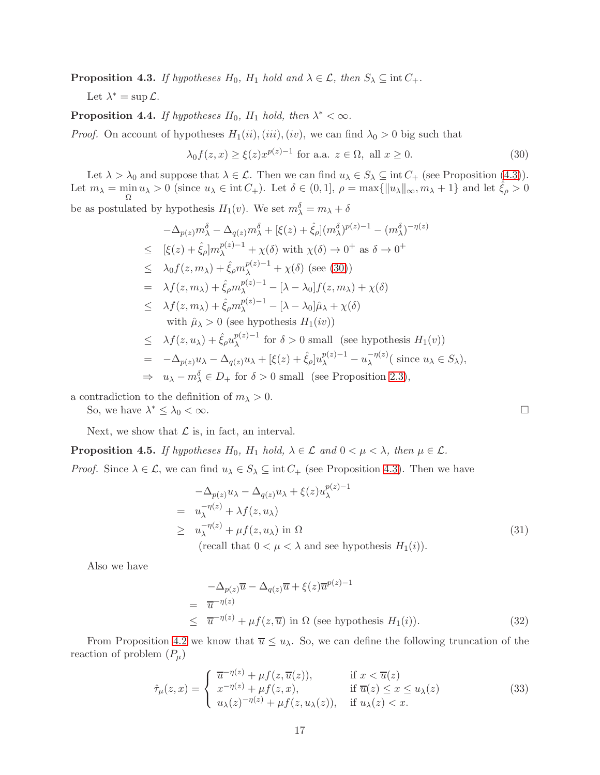<span id="page-16-0"></span>**Proposition 4.3.** If hypotheses  $H_0$ ,  $H_1$  hold and  $\lambda \in \mathcal{L}$ , then  $S_{\lambda} \subseteq \text{int } C_+$ .

Let  $\lambda^* = \sup \mathcal{L}$ .

**Proposition 4.4.** If hypotheses  $H_0$ ,  $H_1$  hold, then  $\lambda^* < \infty$ .

*Proof.* On account of hypotheses  $H_1(ii)$ ,  $(iii)$ ,  $(iv)$ , we can find  $\lambda_0 > 0$  big such that

<span id="page-16-1"></span>
$$
\lambda_0 f(z, x) \ge \xi(z) x^{p(z)-1} \text{ for a.a. } z \in \Omega, \text{ all } x \ge 0.
$$
 (30)

Let  $\lambda > \lambda_0$  and suppose that  $\lambda \in \mathcal{L}$ . Then we can find  $u_{\lambda} \in S_{\lambda} \subseteq \text{int } C_+$  (see Proposition [\(4.3\)](#page-16-0)). Let  $m_{\lambda} = \min_{\overline{\Omega}} u_{\lambda} > 0$  (since  $u_{\lambda} \in \text{int } C_+$ ). Let  $\delta \in (0, 1], \rho = \max\{||u_{\lambda}||_{\infty}, m_{\lambda} + 1\}$  and let  $\hat{\xi}_{\rho} > 0$ be as postulated by hypothesis  $H_1(v)$ . We set  $m_\lambda^\delta = m_\lambda + \delta$ 

$$
-\Delta_{p(z)}m_{\lambda}^{\delta} - \Delta_{q(z)}m_{\lambda}^{\delta} + [\xi(z) + \hat{\xi}_{\rho}](m_{\lambda}^{\delta})^{p(z)-1} - (m_{\lambda}^{\delta})^{-\eta(z)}
$$
  
\n
$$
\leq [\xi(z) + \hat{\xi}_{\rho}]m_{\lambda}^{p(z)-1} + \chi(\delta) \text{ with } \chi(\delta) \to 0^{+} \text{ as } \delta \to 0^{+}
$$
  
\n
$$
\leq \lambda_{0}f(z, m_{\lambda}) + \hat{\xi}_{\rho}m_{\lambda}^{p(z)-1} + \chi(\delta) \text{ (see (30))}
$$
  
\n
$$
= \lambda f(z, m_{\lambda}) + \hat{\xi}_{\rho}m_{\lambda}^{p(z)-1} - [\lambda - \lambda_{0}]f(z, m_{\lambda}) + \chi(\delta)
$$
  
\n
$$
\leq \lambda f(z, m_{\lambda}) + \hat{\xi}_{\rho}m_{\lambda}^{p(z)-1} - [\lambda - \lambda_{0}]\hat{\mu}_{\lambda} + \chi(\delta)
$$
  
\nwith  $\hat{\mu}_{\lambda} > 0$  (see hypothesis  $H_{1}(iv)$ )  
\n
$$
\leq \lambda f(z, u_{\lambda}) + \hat{\xi}_{\rho}u_{\lambda}^{p(z)-1} \text{ for } \delta > 0 \text{ small (see hypothesis } H_{1}(v))
$$
  
\n
$$
= -\Delta_{p(z)}u_{\lambda} - \Delta_{q(z)}u_{\lambda} + [\xi(z) + \hat{\xi}_{\rho}]u_{\lambda}^{p(z)-1} - u_{\lambda}^{-\eta(z)} (\text{ since } u_{\lambda} \in S_{\lambda}),
$$

$$
\Rightarrow u_{\lambda} - m_{\lambda}^{\delta} \in D_+ \text{ for } \delta > 0 \text{ small (see Proposition 2.3),}
$$

a contradiction to the definition of  $m_{\lambda} > 0$ .

So, we have  $\lambda^* \leq \lambda_0 < \infty$ .

Next, we show that  $\mathcal L$  is, in fact, an interval.

<span id="page-16-5"></span>**Proposition 4.5.** If hypotheses  $H_0$ ,  $H_1$  hold,  $\lambda \in \mathcal{L}$  and  $0 < \mu < \lambda$ , then  $\mu \in \mathcal{L}$ .

*Proof.* Since  $\lambda \in \mathcal{L}$ , we can find  $u_{\lambda} \in S_{\lambda} \subseteq \text{int } C_+$  (see Proposition [4.3\)](#page-16-0). Then we have

<span id="page-16-2"></span>
$$
-\Delta_{p(z)}u_{\lambda} - \Delta_{q(z)}u_{\lambda} + \xi(z)u_{\lambda}^{p(z)-1}
$$
  
\n
$$
= u_{\lambda}^{-\eta(z)} + \lambda f(z, u_{\lambda})
$$
  
\n
$$
\geq u_{\lambda}^{-\eta(z)} + \mu f(z, u_{\lambda}) \text{ in } \Omega
$$
  
\n(recall that  $0 < \mu < \lambda$  and see hypothesis  $H_1(i)$ ).  
\n(31)

Also we have

<span id="page-16-3"></span>
$$
-\Delta_{p(z)}\overline{u} - \Delta_{q(z)}\overline{u} + \xi(z)\overline{u}^{p(z)-1}
$$
  
=  $\overline{u}^{-\eta(z)}$   
 $\leq \overline{u}^{-\eta(z)} + \mu f(z, \overline{u})$  in  $\Omega$  (see hypothesis  $H_1(i)$ ). (32)

From Proposition [4.2](#page-15-4) we know that  $\overline{u} \leq u_\lambda$ . So, we can define the following truncation of the reaction of problem  $(P_\mu)$ 

<span id="page-16-4"></span>
$$
\hat{\tau}_{\mu}(z,x) = \begin{cases}\n\overline{u}^{-\eta(z)} + \mu f(z, \overline{u}(z)), & \text{if } x < \overline{u}(z) \\
x^{-\eta(z)} + \mu f(z, x), & \text{if } \overline{u}(z) \le x \le u_{\lambda}(z) \\
u_{\lambda}(z)^{-\eta(z)} + \mu f(z, u_{\lambda}(z)), & \text{if } u_{\lambda}(z) < x.\n\end{cases}
$$
\n(33)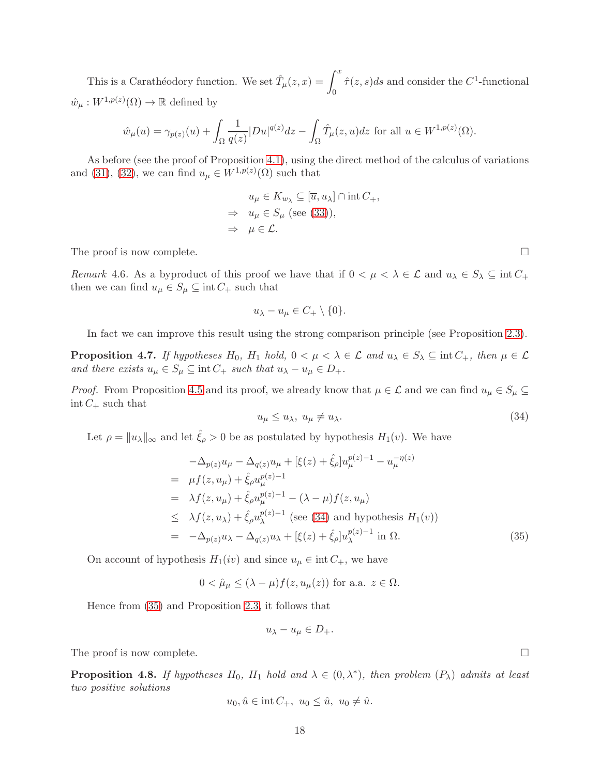This is a Carathéodory function. We set  $\hat{T}_{\mu}(z, x) = \int_0^x$ 0  $\hat{\tau}(z,s)ds$  and consider the C<sup>1</sup>-functional  $\hat{w}_{\mu}: W^{1,p(z)}(\Omega) \to \mathbb{R}$  defined by

$$
\hat{w}_{\mu}(u) = \gamma_{p(z)}(u) + \int_{\Omega} \frac{1}{q(z)} |Du|^{q(z)} dz - \int_{\Omega} \hat{T}_{\mu}(z, u) dz \text{ for all } u \in W^{1, p(z)}(\Omega).
$$

As before (see the proof of Proposition [4.1\)](#page-13-2), using the direct method of the calculus of variations and [\(31\)](#page-16-2), [\(32\)](#page-16-3), we can find  $u_{\mu} \in W^{1,p(z)}(\Omega)$  such that

$$
u_{\mu} \in K_{w_{\lambda}} \subseteq [\overline{u}, u_{\lambda}] \cap \text{int } C_+,
$$
  
\n
$$
\Rightarrow u_{\mu} \in S_{\mu} \text{ (see (33)),}
$$
  
\n
$$
\Rightarrow \mu \in \mathcal{L}.
$$

The proof is now complete.

Remark 4.6. As a byproduct of this proof we have that if  $0 < \mu < \lambda \in \mathcal{L}$  and  $u_{\lambda} \in S_{\lambda} \subseteq \text{int } C_+$ then we can find  $u_{\mu} \in S_{\mu} \subseteq \text{int } C_+$  such that

$$
u_{\lambda}-u_{\mu}\in C_+\setminus\{0\}.
$$

In fact we can improve this result using the strong comparison principle (see Proposition [2.3\)](#page-5-0).

<span id="page-17-2"></span>**Proposition 4.7.** If hypotheses  $H_0$ ,  $H_1$  hold,  $0 < \mu < \lambda \in \mathcal{L}$  and  $u_\lambda \in S_\lambda \subseteq \text{int } C_+$ , then  $\mu \in \mathcal{L}$ and there exists  $u_{\mu} \in S_{\mu} \subseteq \text{int } C_+$  such that  $u_{\lambda} - u_{\mu} \in D_+$ .

*Proof.* From Proposition [4.5](#page-16-5) and its proof, we already know that  $\mu \in \mathcal{L}$  and we can find  $u_{\mu} \in S_{\mu} \subseteq$  $int C_+$  such that

<span id="page-17-0"></span>
$$
u_{\mu} \le u_{\lambda}, \ u_{\mu} \ne u_{\lambda}.\tag{34}
$$

Let  $\rho = ||u_\lambda||_\infty$  and let  $\hat{\xi}_\rho > 0$  be as postulated by hypothesis  $H_1(v)$ . We have

<span id="page-17-1"></span>
$$
-\Delta_{p(z)}u_{\mu} - \Delta_{q(z)}u_{\mu} + [\xi(z) + \hat{\xi}_{\rho}]u_{\mu}^{p(z)-1} - u_{\mu}^{-\eta(z)}
$$
  
\n
$$
= \mu f(z, u_{\mu}) + \hat{\xi}_{\rho}u_{\mu}^{p(z)-1}
$$
  
\n
$$
= \lambda f(z, u_{\mu}) + \hat{\xi}_{\rho}u_{\mu}^{p(z)-1} - (\lambda - \mu)f(z, u_{\mu})
$$
  
\n
$$
\leq \lambda f(z, u_{\lambda}) + \hat{\xi}_{\rho}u_{\lambda}^{p(z)-1} \text{ (see (34) and hypothesis } H_1(v))
$$
  
\n
$$
= -\Delta_{p(z)}u_{\lambda} - \Delta_{q(z)}u_{\lambda} + [\xi(z) + \hat{\xi}_{\rho}]u_{\lambda}^{p(z)-1} \text{ in } \Omega.
$$
 (35)

On account of hypothesis  $H_1(iv)$  and since  $u_\mu \in \text{int } C_+$ , we have

 $0 < \hat{\mu}_\mu \leq (\lambda - \mu) f(z, u_\mu(z))$  for a.a.  $z \in \Omega$ .

Hence from [\(35\)](#page-17-1) and Proposition [2.3,](#page-5-0) it follows that

$$
u_{\lambda}-u_{\mu}\in D_+.
$$

The proof is now complete.  $\Box$ 

<span id="page-17-3"></span>**Proposition 4.8.** If hypotheses  $H_0$ ,  $H_1$  hold and  $\lambda \in (0, \lambda^*)$ , then problem  $(P_\lambda)$  admits at least two positive solutions

$$
u_0, \hat{u} \in \text{int } C_+, \ u_0 \leq \hat{u}, \ u_0 \neq \hat{u}.
$$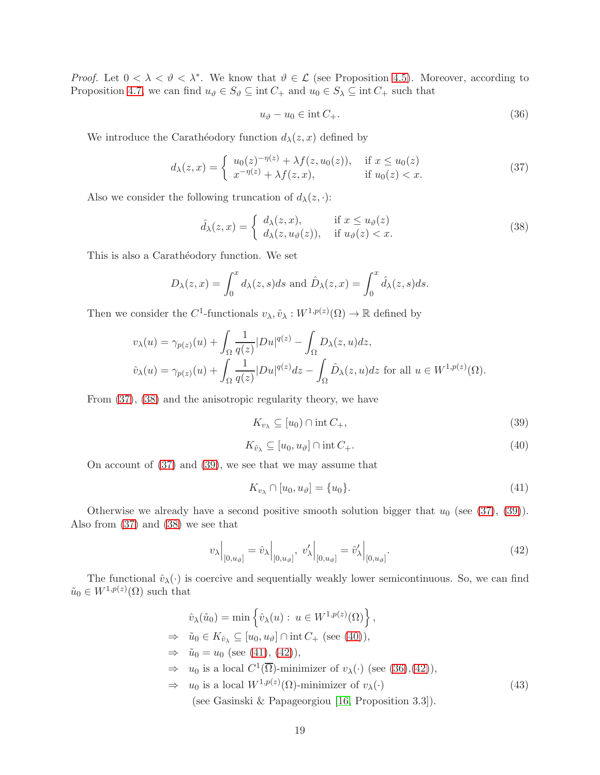*Proof.* Let  $0 < \lambda < \vartheta < \lambda^*$ . We know that  $\vartheta \in \mathcal{L}$  (see Proposition [4.5\)](#page-16-5). Moreover, according to Proposition [4.7,](#page-17-2) we can find  $u_{\vartheta} \in S_{\vartheta} \subseteq \text{int } C_+$  and  $u_0 \in S_{\lambda} \subseteq \text{int } C_+$  such that

<span id="page-18-6"></span>
$$
u_{\vartheta} - u_0 \in \text{int}\, C_+.
$$
\n<sup>(36)</sup>

We introduce the Carathéodory function  $d_{\lambda}(z, x)$  defined by

<span id="page-18-0"></span>
$$
d_{\lambda}(z,x) = \begin{cases} u_0(z)^{-\eta(z)} + \lambda f(z, u_0(z)), & \text{if } x \le u_0(z) \\ x^{-\eta(z)} + \lambda f(z,x), & \text{if } u_0(z) < x. \end{cases}
$$
(37)

Also we consider the following truncation of  $d_{\lambda}(z, \cdot)$ :

<span id="page-18-1"></span>
$$
\hat{d}_{\lambda}(z,x) = \begin{cases} d_{\lambda}(z,x), & \text{if } x \le u_{\vartheta}(z) \\ d_{\lambda}(z,u_{\vartheta}(z)), & \text{if } u_{\vartheta}(z) < x. \end{cases}
$$
\n(38)

This is also a Caratheodory function. We set

$$
D_{\lambda}(z,x) = \int_0^x d_{\lambda}(z,s)ds \text{ and } \hat{D}_{\lambda}(z,x) = \int_0^x \hat{d}_{\lambda}(z,s)ds.
$$

Then we consider the C<sup>1</sup>-functionals  $v_{\lambda}, \hat{v}_{\lambda}: W^{1,p(z)}(\Omega) \to \mathbb{R}$  defined by

$$
v_{\lambda}(u) = \gamma_{p(z)}(u) + \int_{\Omega} \frac{1}{q(z)} |Du|^{q(z)} - \int_{\Omega} D_{\lambda}(z, u) dz,
$$
  

$$
\hat{v}_{\lambda}(u) = \gamma_{p(z)}(u) + \int_{\Omega} \frac{1}{q(z)} |Du|^{q(z)} dz - \int_{\Omega} \hat{D}_{\lambda}(z, u) dz \text{ for all } u \in W^{1, p(z)}(\Omega).
$$

From [\(37\)](#page-18-0), [\(38\)](#page-18-1) and the anisotropic regularity theory, we have

<span id="page-18-2"></span>
$$
K_{v_{\lambda}} \subseteq [u_0) \cap \text{int } C_+, \tag{39}
$$

<span id="page-18-3"></span>
$$
K_{\hat{v}_{\lambda}} \subseteq [u_0, u_{\vartheta}] \cap \text{int } C_+.
$$
\n
$$
(40)
$$

On account of [\(37\)](#page-18-0) and [\(39\)](#page-18-2), we see that we may assume that

<span id="page-18-4"></span>
$$
K_{v_{\lambda}} \cap [u_0, u_{\vartheta}] = \{u_0\}.
$$
\n
$$
(41)
$$

Otherwise we already have a second positive smooth solution bigger that  $u_0$  (see [\(37\)](#page-18-0), [\(39\)](#page-18-2)). Also from [\(37\)](#page-18-0) and [\(38\)](#page-18-1) we see that

<span id="page-18-5"></span>
$$
v_{\lambda}\Big|_{[0,u_{\vartheta}]} = \hat{v}_{\lambda}\Big|_{[0,u_{\vartheta}]} , \ v_{\lambda}'\Big|_{[0,u_{\vartheta}]} = \hat{v}_{\lambda}'\Big|_{[0,u_{\vartheta}]} . \tag{42}
$$

The functional  $\hat{v}_{\lambda}(\cdot)$  is coercive and sequentially weakly lower semicontinuous. So, we can find  $\tilde{u}_0 \in W^{1,p(z)}(\Omega)$  such that

<span id="page-18-7"></span>
$$
\hat{v}_{\lambda}(\tilde{u}_{0}) = \min \left\{ \hat{v}_{\lambda}(u) : u \in W^{1, p(z)}(\Omega) \right\}, \n\Rightarrow \tilde{u}_{0} \in K_{\hat{v}_{\lambda}} \subseteq [u_{0}, u_{\vartheta}] \cap \text{int } C_{+} \text{ (see (40)),} \n\Rightarrow \tilde{u}_{0} = u_{0} \text{ (see (41), (42)),} \n\Rightarrow u_{0} \text{ is a local } C^{1}(\overline{\Omega})\text{-minimizer of } v_{\lambda}(\cdot) \text{ (see (36),(42)),} \n\Rightarrow u_{0} \text{ is a local } W^{1, p(z)}(\Omega)\text{-minimizer of } v_{\lambda}(\cdot)
$$
\n(43)

(see Gasinski & Papageorgiou [\[16,](#page-25-16) Proposition 3.3]).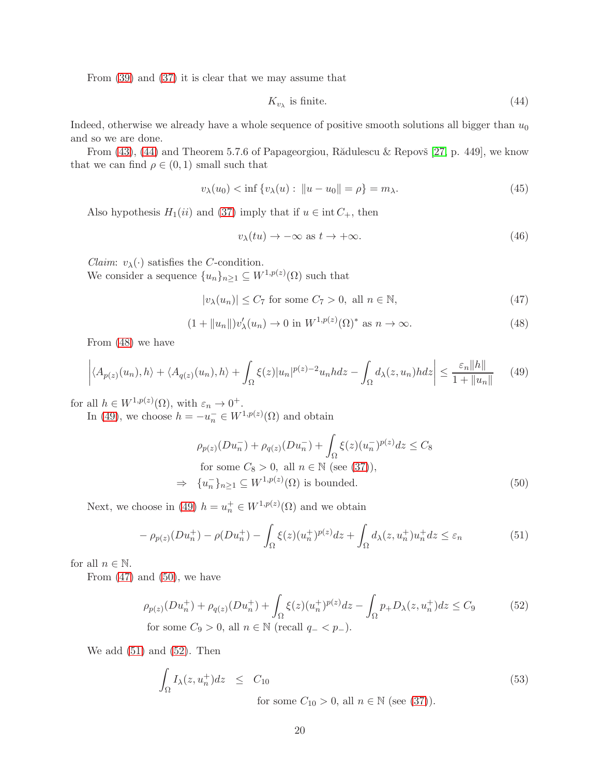From [\(39\)](#page-18-2) and [\(37\)](#page-18-0) it is clear that we may assume that

<span id="page-19-0"></span>
$$
K_{v_{\lambda}} \text{ is finite.} \tag{44}
$$

Indeed, otherwise we already have a whole sequence of positive smooth solutions all bigger than  $u_0$ and so we are done.

From  $(43)$ ,  $(44)$  and Theorem 5.7.6 of Papageorgiou, Rădulescu & Repovš [\[27,](#page-26-17) p. 449], we know that we can find  $\rho \in (0,1)$  small such that

<span id="page-19-8"></span>
$$
v_{\lambda}(u_0) < \inf \{ v_{\lambda}(u) : \|u - u_0\| = \rho \} = m_{\lambda}.\tag{45}
$$

Also hypothesis  $H_1(ii)$  and [\(37\)](#page-18-0) imply that if  $u \in \text{int } C_+$ , then

<span id="page-19-9"></span>
$$
v_{\lambda}(tu) \to -\infty \text{ as } t \to +\infty. \tag{46}
$$

*Claim:*  $v_{\lambda}(\cdot)$  satisfies the *C*-condition. We consider a sequence  $\{u_n\}_{n\geq 1} \subseteq W^{1,p(z)}(\Omega)$  such that

<span id="page-19-3"></span>
$$
|v_{\lambda}(u_n)| \le C_7 \text{ for some } C_7 > 0, \text{ all } n \in \mathbb{N},\tag{47}
$$

<span id="page-19-1"></span>
$$
(1 + \|u_n\|)v'_{\lambda}(u_n) \to 0 \text{ in } W^{1,p(z)}(\Omega)^* \text{ as } n \to \infty.
$$
 (48)

From [\(48\)](#page-19-1) we have

<span id="page-19-2"></span>
$$
\left| \langle A_{p(z)}(u_n), h \rangle + \langle A_{q(z)}(u_n), h \rangle + \int_{\Omega} \xi(z) |u_n|^{p(z)-2} u_n h dz - \int_{\Omega} d_{\lambda}(z, u_n) h dz \right| \le \frac{\varepsilon_n ||h||}{1 + ||u_n||} \tag{49}
$$

for all  $h \in W^{1,p(z)}(\Omega)$ , with  $\varepsilon_n \to 0^+$ .

In [\(49\)](#page-19-2), we choose  $h = -u_n^- \in W^{1,p(z)}(\Omega)$  and obtain

<span id="page-19-4"></span>
$$
\rho_{p(z)}(Du_n^-) + \rho_{q(z)}(Du_n^-) + \int_{\Omega} \xi(z)(u_n^-)^{p(z)} dz \le C_8
$$
  
for some  $C_8 > 0$ , all  $n \in \mathbb{N}$  (see (37)),  

$$
\Rightarrow \{u_n^-\}_{n\ge 1} \subseteq W^{1,p(z)}(\Omega) \text{ is bounded.}
$$
 (50)

Next, we choose in [\(49\)](#page-19-2)  $h = u_n^+ \in W^{1,p(z)}(\Omega)$  and we obtain

<span id="page-19-5"></span>
$$
-\rho_{p(z)}(Du_n^+) - \rho(Du_n^+) - \int_{\Omega} \xi(z)(u_n^+)^{p(z)} dz + \int_{\Omega} d\lambda(z, u_n^+) u_n^+ dz \le \varepsilon_n \tag{51}
$$

for all  $n \in \mathbb{N}$ .

From  $(47)$  and  $(50)$ , we have

<span id="page-19-6"></span>
$$
\rho_{p(z)}(Du_n^+) + \rho_{q(z)}(Du_n^+) + \int_{\Omega} \xi(z)(u_n^+)^{p(z)} dz - \int_{\Omega} p_+ D_{\lambda}(z, u_n^+) dz \le C_9
$$
\nfor some  $C_9 > 0$ , all  $n \in \mathbb{N}$  (recall  $q_- < p_-$ ).

\n(52)

We add  $(51)$  and  $(52)$ . Then

<span id="page-19-7"></span>
$$
\int_{\Omega} I_{\lambda}(z, u_n^+)dz \leq C_{10}
$$
\n
$$
\text{for some } C_{10} > 0, \text{ all } n \in \mathbb{N} \text{ (see (37))}.
$$
\n
$$
(53)
$$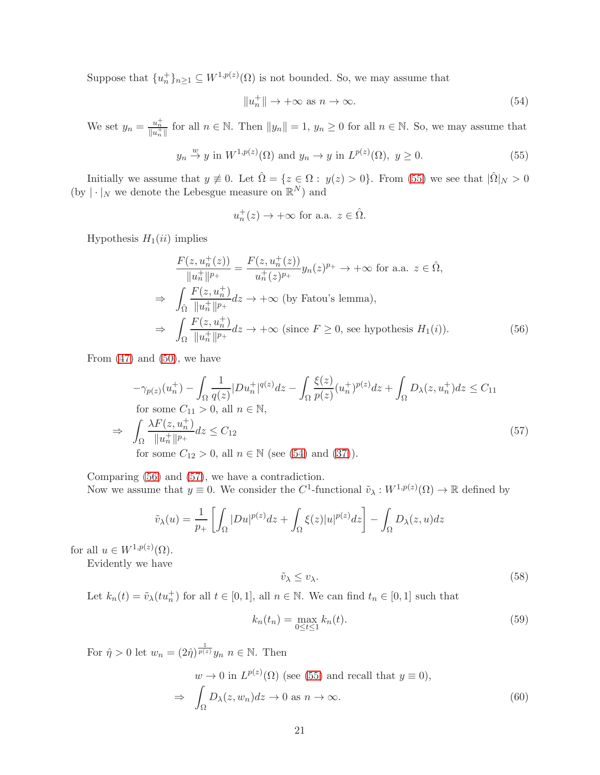Suppose that  ${u_n^+}_{n \geq 1} \subseteq W^{1,p(z)}(\Omega)$  is not bounded. So, we may assume that

<span id="page-20-1"></span>
$$
||u_n^+|| \to +\infty \text{ as } n \to \infty.
$$
 (54)

We set  $y_n = \frac{u_n^+}{||u_n^+||}$  for all  $n \in \mathbb{N}$ . Then  $||y_n|| = 1$ ,  $y_n \ge 0$  for all  $n \in \mathbb{N}$ . So, we may assume that

<span id="page-20-0"></span>
$$
y_n \stackrel{w}{\rightarrow} y
$$
 in  $W^{1,p(z)}(\Omega)$  and  $y_n \rightarrow y$  in  $L^{p(z)}(\Omega)$ ,  $y \ge 0$ . (55)

Initially we assume that  $y \neq 0$ . Let  $\hat{\Omega} = \{z \in \Omega : y(z) > 0\}$ . From [\(55\)](#page-20-0) we see that  $|\hat{\Omega}|_N > 0$ (by  $|\cdot|_N$  we denote the Lebesgue measure on  $\mathbb{R}^N$ ) and

$$
u_n^+(z) \to +\infty \text{ for a.a. } z \in \hat{\Omega}.
$$

Hypothesis  $H_1(ii)$  implies

<span id="page-20-2"></span>
$$
\frac{F(z, u_n^+(z))}{\|u_n^+\|^{p_+}} = \frac{F(z, u_n^+(z))}{u_n^+(z)^{p_+}} y_n(z)^{p_+} \to +\infty \text{ for a.a. } z \in \hat{\Omega},
$$
  
\n
$$
\Rightarrow \int_{\hat{\Omega}} \frac{F(z, u_n^+)}{\|u_n^+\|^{p_+}} dz \to +\infty \text{ (by Fatou's lemma)},
$$
  
\n
$$
\Rightarrow \int_{\Omega} \frac{F(z, u_n^+)}{\|u_n^+\|^{p_+}} dz \to +\infty \text{ (since } F \ge 0, \text{ see hypothesis } H_1(i)).
$$
 (56)

From  $(47)$  and  $(50)$ , we have

<span id="page-20-3"></span>
$$
-\gamma_{p(z)}(u_n^+) - \int_{\Omega} \frac{1}{q(z)} |Du_n^+|^{q(z)} dz - \int_{\Omega} \frac{\xi(z)}{p(z)} (u_n^+)^{p(z)} dz + \int_{\Omega} D_{\lambda}(z, u_n^+) dz \le C_{11}
$$
  
for some  $C_{11} > 0$ , all  $n \in \mathbb{N}$ ,  

$$
\Rightarrow \int_{\Omega} \frac{\lambda F(z, u_n^+)}{\|u_n^+\|^{p_+}} dz \le C_{12}
$$
  
for some  $C_{12} > 0$ , all  $n \in \mathbb{N}$  (see (54) and (37)). (57)

Comparing [\(56\)](#page-20-2) and [\(57\)](#page-20-3), we have a contradiction.

Now we assume that  $y \equiv 0$ . We consider the C<sup>1</sup>-functional  $\tilde{v}_{\lambda}: W^{1,p(z)}(\Omega) \to \mathbb{R}$  defined by

$$
\tilde{v}_{\lambda}(u) = \frac{1}{p_{+}} \left[ \int_{\Omega} |Du|^{p(z)} dz + \int_{\Omega} \xi(z) |u|^{p(z)} dz \right] - \int_{\Omega} D_{\lambda}(z, u) dz
$$

for all  $u \in W^{1,p(z)}(\Omega)$ .

Evidently we have

<span id="page-20-6"></span>
$$
\tilde{v}_{\lambda} \le v_{\lambda}.\tag{58}
$$

Let  $k_n(t) = \tilde{v}_\lambda(tu_n^+)$  for all  $t \in [0,1]$ , all  $n \in \mathbb{N}$ . We can find  $t_n \in [0,1]$  such that

<span id="page-20-4"></span>
$$
k_n(t_n) = \max_{0 \le t \le 1} k_n(t). \tag{59}
$$

For  $\hat{\eta} > 0$  let  $w_n = (2\hat{\eta})^{\frac{1}{p(z)}} y_n$   $n \in \mathbb{N}$ . Then

<span id="page-20-5"></span>
$$
w \to 0 \text{ in } L^{p(z)}(\Omega) \text{ (see (55) and recall that } y \equiv 0),
$$
  

$$
\Rightarrow \int_{\Omega} D_{\lambda}(z, w_n) dz \to 0 \text{ as } n \to \infty.
$$
 (60)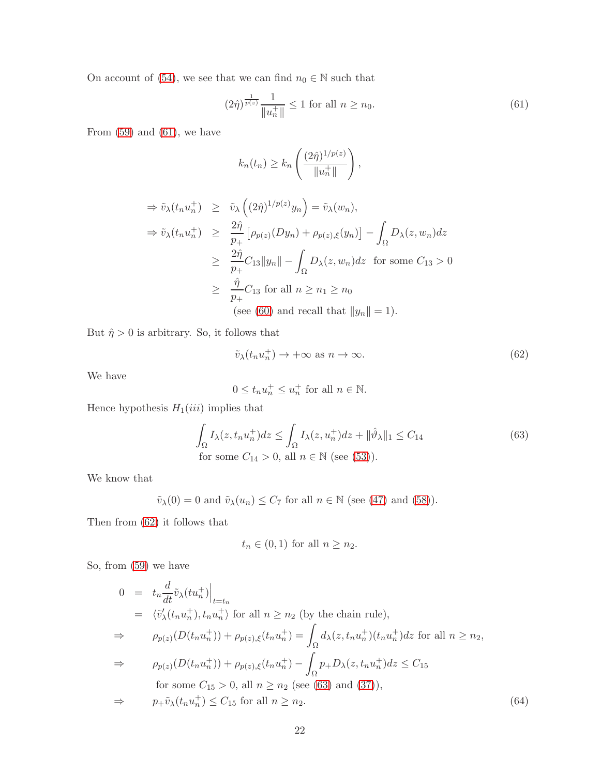On account of [\(54\)](#page-20-1), we see that we can find  $n_0\in\mathbb{N}$  such that

<span id="page-21-0"></span>
$$
(2\hat{\eta})^{\frac{1}{p(z)}} \frac{1}{\|u_n^+\|} \le 1 \text{ for all } n \ge n_0. \tag{61}
$$

From  $(59)$  and  $(61)$ , we have

$$
k_n(t_n) \ge k_n \left(\frac{(2\hat{\eta})^{1/p(z)}}{\|u_n^+\|}\right),\,
$$

$$
\Rightarrow \tilde{v}_{\lambda}(t_n u_n^+) \geq \tilde{v}_{\lambda}\left((2\hat{\eta})^{1/p(z)}y_n\right) = \tilde{v}_{\lambda}(w_n),
$$
  

$$
\Rightarrow \tilde{v}_{\lambda}(t_n u_n^+) \geq \frac{2\hat{\eta}}{p_+}\left[\rho_{p(z)}(Dy_n) + \rho_{p(z),\xi}(y_n)\right] - \int_{\Omega} D_{\lambda}(z,w_n)dz
$$
  

$$
\geq \frac{2\hat{\eta}}{p_+}C_{13}||y_n|| - \int_{\Omega} D_{\lambda}(z,w_n)dz \text{ for some } C_{13} > 0
$$
  

$$
\geq \frac{\hat{\eta}}{p_+}C_{13} \text{ for all } n \geq n_1 \geq n_0
$$
  
(see (60) and recall that  $||y_n|| = 1$ ).

But  $\hat{\eta} > 0$  is arbitrary. So, it follows that

<span id="page-21-1"></span>
$$
\tilde{v}_{\lambda}(t_n u_n^+) \to +\infty \text{ as } n \to \infty. \tag{62}
$$

We have

$$
0 \le t_n u_n^+ \le u_n^+ \text{ for all } n \in \mathbb{N}.
$$

Hence hypothesis  $H_1(iii)$  implies that

<span id="page-21-2"></span>
$$
\int_{\Omega} I_{\lambda}(z, t_n u_n^+) dz \le \int_{\Omega} I_{\lambda}(z, u_n^+) dz + ||\hat{\vartheta}_{\lambda}||_1 \le C_{14}
$$
\n
$$
\text{for some } C_{14} > 0, \text{ all } n \in \mathbb{N} \text{ (see (53))}.
$$
\n
$$
(63)
$$

We know that

$$
\tilde{v}_{\lambda}(0) = 0
$$
 and  $\tilde{v}_{\lambda}(u_n) \leq C_7$  for all  $n \in \mathbb{N}$  (see (47) and (58)).

Then from [\(62\)](#page-21-1) it follows that

$$
t_n \in (0,1)
$$
 for all  $n \ge n_2$ .

So, from [\(59\)](#page-20-4) we have

<span id="page-21-3"></span>
$$
0 = t_n \frac{d}{dt} \tilde{v}_{\lambda}(tu_n^+) \Big|_{t=t_n}
$$
  
\n
$$
= \langle \tilde{v}'_{\lambda}(t_n u_n^+), t_n u_n^+ \rangle \text{ for all } n \ge n_2 \text{ (by the chain rule)},
$$
  
\n
$$
\Rightarrow \qquad \rho_{p(z)}(D(t_n u_n^+)) + \rho_{p(z),\xi}(t_n u_n^+) = \int_{\Omega} d_{\lambda}(z, t_n u_n^+) (t_n u_n^+) dz \text{ for all } n \ge n_2,
$$
  
\n
$$
\Rightarrow \qquad \rho_{p(z)}(D(t_n u_n^+)) + \rho_{p(z),\xi}(t_n u_n^+) - \int_{\Omega} p_+ D_{\lambda}(z, t_n u_n^+) dz \le C_{15}
$$
  
\nfor some  $C_{15} > 0$ , all  $n \ge n_2$  (see (63) and (37)),  
\n
$$
\Rightarrow \qquad p_+ \tilde{v}_{\lambda}(t_n u_n^+) \le C_{15} \text{ for all } n \ge n_2.
$$
 (64)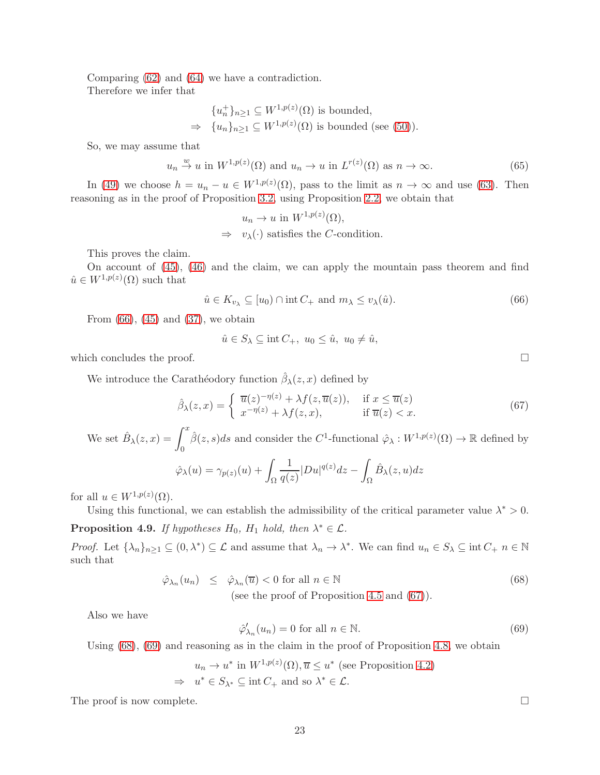Comparing [\(62\)](#page-21-1) and [\(64\)](#page-21-3) we have a contradiction. Therefore we infer that

$$
\{u_n^+\}_{n\geq 1} \subseteq W^{1,p(z)}(\Omega) \text{ is bounded,}
$$
  
\n
$$
\Rightarrow \{u_n\}_{n\geq 1} \subseteq W^{1,p(z)}(\Omega) \text{ is bounded (see (50)).}
$$

So, we may assume that

$$
u_n \stackrel{w}{\to} u
$$
 in  $W^{1,p(z)}(\Omega)$  and  $u_n \to u$  in  $L^{r(z)}(\Omega)$  as  $n \to \infty$ . (65)

In [\(49\)](#page-19-2) we choose  $h = u_n - u \in W^{1,p(z)}(\Omega)$ , pass to the limit as  $n \to \infty$  and use [\(63\)](#page-21-2). Then reasoning as in the proof of Proposition [3.2,](#page-9-4) using Proposition [2.2,](#page-4-0) we obtain that

> $u_n \to u$  in  $W^{1,p(z)}(\Omega)$ ,  $\Rightarrow v_{\lambda}(\cdot)$  satisfies the *C*-condition.

This proves the claim.

On account of [\(45\)](#page-19-8), [\(46\)](#page-19-9) and the claim, we can apply the mountain pass theorem and find  $\hat{u} \in W^{1,p(z)}(\Omega)$  such that

<span id="page-22-0"></span>
$$
\hat{u} \in K_{v_{\lambda}} \subseteq [u_0) \cap \text{int } C_+ \text{ and } m_{\lambda} \le v_{\lambda}(\hat{u}). \tag{66}
$$

From  $(66)$ ,  $(45)$  and  $(37)$ , we obtain

$$
\hat{u} \in S_{\lambda} \subseteq \text{int } C_+, \ u_0 \leq \hat{u}, \ u_0 \neq \hat{u},
$$

which concludes the proof.  $\Box$ 

We introduce the Carathéodory function  $\hat{\beta}_{\lambda}(z, x)$  defined by

<span id="page-22-1"></span>
$$
\hat{\beta}_{\lambda}(z,x) = \begin{cases} \overline{u}(z)^{-\eta(z)} + \lambda f(z,\overline{u}(z)), & \text{if } x \le \overline{u}(z) \\ x^{-\eta(z)} + \lambda f(z,x), & \text{if } \overline{u}(z) < x. \end{cases}
$$
(67)

We set  $\hat{B}_{\lambda}(z,x) = \int_0^x$  $\theta$  $\hat{\beta}(z,s)ds$  and consider the C<sup>1</sup>-functional  $\hat{\varphi}_{\lambda}:W^{1,p(z)}(\Omega)\to\mathbb{R}$  defined by

$$
\hat{\varphi}_{\lambda}(u) = \gamma_{p(z)}(u) + \int_{\Omega} \frac{1}{q(z)} |Du|^{q(z)} dz - \int_{\Omega} \hat{B}_{\lambda}(z, u) dz
$$

for all  $u \in W^{1,p(z)}(\Omega)$ .

Using this functional, we can establish the admissibility of the critical parameter value  $\lambda^* > 0$ .

**Proposition 4.9.** If hypotheses  $H_0$ ,  $H_1$  hold, then  $\lambda^* \in \mathcal{L}$ .

*Proof.* Let  $\{\lambda_n\}_{n\geq 1} \subseteq (0,\lambda^*) \subseteq \mathcal{L}$  and assume that  $\lambda_n \to \lambda^*$ . We can find  $u_n \in S_\lambda \subseteq \text{int } C_+$   $n \in \mathbb{N}$ such that

<span id="page-22-2"></span>
$$
\hat{\varphi}_{\lambda_n}(u_n) \leq \hat{\varphi}_{\lambda_n}(\overline{u}) < 0 \text{ for all } n \in \mathbb{N} \tag{68}
$$
\n
$$
\text{(see the proof of Proposition 4.5 and (67))}.
$$

Also we have

<span id="page-22-3"></span>
$$
\hat{\varphi}'_{\lambda_n}(u_n) = 0 \text{ for all } n \in \mathbb{N}.\tag{69}
$$

Using  $(68)$ ,  $(69)$  and reasoning as in the claim in the proof of Proposition [4.8,](#page-17-3) we obtain

$$
u_n \to u^* \text{ in } W^{1,p(z)}(\Omega), \overline{u} \le u^* \text{ (see Proposition 4.2)}
$$
  
\n
$$
\Rightarrow u^* \in S_{\lambda^*} \subseteq \text{int } C_+ \text{ and so } \lambda^* \in \mathcal{L}.
$$

The proof is now complete.  $\Box$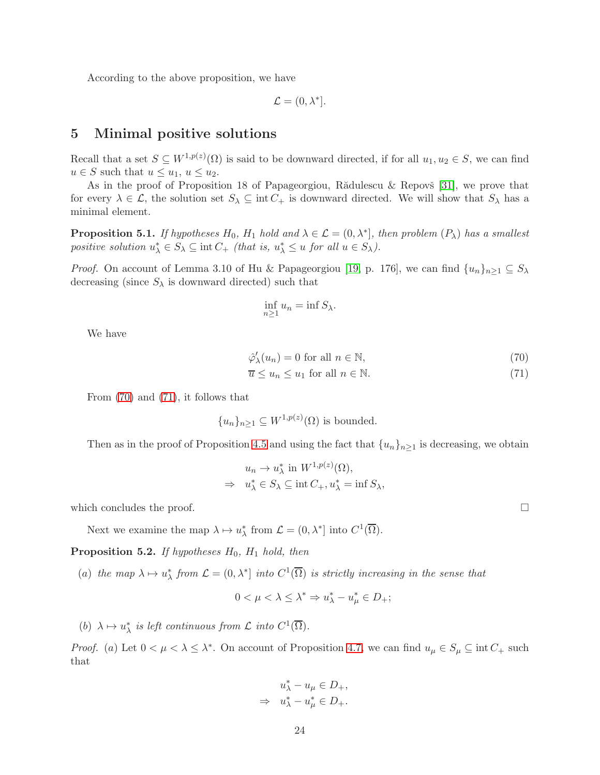According to the above proposition, we have

$$
\mathcal{L} = (0, \lambda^*].
$$

# 5 Minimal positive solutions

Recall that a set  $S \subseteq W^{1,p(z)}(\Omega)$  is said to be downward directed, if for all  $u_1, u_2 \in S$ , we can find  $u \in S$  such that  $u \leq u_1, u \leq u_2$ .

As in the proof of Proposition 18 of Papageorgiou, Rădulescu & Repovš [\[31\]](#page-26-8), we prove that for every  $\lambda \in \mathcal{L}$ , the solution set  $S_{\lambda} \subseteq \text{int } C_+$  is downward directed. We will show that  $S_{\lambda}$  has a minimal element.

**Proposition 5.1.** If hypotheses  $H_0$ ,  $H_1$  hold and  $\lambda \in \mathcal{L} = (0, \lambda^*]$ , then problem  $(P_\lambda)$  has a smallest positive solution  $u_{\lambda}^* \in S_{\lambda} \subseteq \text{int } C_+$  (that is,  $u_{\lambda}^* \leq u$  for all  $u \in S_{\lambda}$ ).

*Proof.* On account of Lemma 3.10 of Hu & Papageorgiou [\[19,](#page-25-18) p. 176], we can find  $\{u_n\}_{n>1} \subseteq S_\lambda$ decreasing (since  $S_{\lambda}$  is downward directed) such that

$$
\inf_{n\geq 1} u_n = \inf S_{\lambda}.
$$

We have

<span id="page-23-0"></span>
$$
\hat{\varphi}'_{\lambda}(u_n) = 0 \text{ for all } n \in \mathbb{N},\tag{70}
$$

$$
\overline{u} \le u_n \le u_1 \text{ for all } n \in \mathbb{N}.\tag{71}
$$

From [\(70\)](#page-23-0) and [\(71\)](#page-23-0), it follows that

$$
{u_n}_{n\geq 1} \subseteq W^{1,p(z)}(\Omega)
$$
 is bounded.

Then as in the proof of Proposition [4.5](#page-16-5) and using the fact that  ${u_n}_{n\geq 1}$  is decreasing, we obtain

$$
u_n \to u_\lambda^* \text{ in } W^{1,p(z)}(\Omega),
$$
  
\n
$$
\Rightarrow u_\lambda^* \in S_\lambda \subseteq \text{int } C_+, u_\lambda^* = \text{inf } S_\lambda,
$$

which concludes the proof.  $\Box$ 

Next we examine the map  $\lambda \mapsto u_{\lambda}^*$  from  $\mathcal{L} = (0, \lambda^*]$  into  $C^1(\overline{\Omega})$ .

**Proposition 5.2.** If hypotheses  $H_0$ ,  $H_1$  hold, then

(a) the map  $\lambda \mapsto u_\lambda^*$  from  $\mathcal{L} = (0, \lambda^*]$  into  $C^1(\overline{\Omega})$  is strictly increasing in the sense that

$$
0 < \mu < \lambda \le \lambda^* \Rightarrow u_{\lambda}^* - u_{\mu}^* \in D_+;
$$

(b)  $\lambda \mapsto u_{\lambda}^*$  is left continuous from  $\mathcal L$  into  $C^1(\overline{\Omega})$ .

*Proof.* (a) Let  $0 < \mu < \lambda \leq \lambda^*$ . On account of Proposition [4.7,](#page-17-2) we can find  $u_{\mu} \in S_{\mu} \subseteq \text{int } C_+$  such that

$$
u_{\lambda}^* - u_{\mu} \in D_+,
$$
  

$$
\Rightarrow u_{\lambda}^* - u_{\mu}^* \in D_+.
$$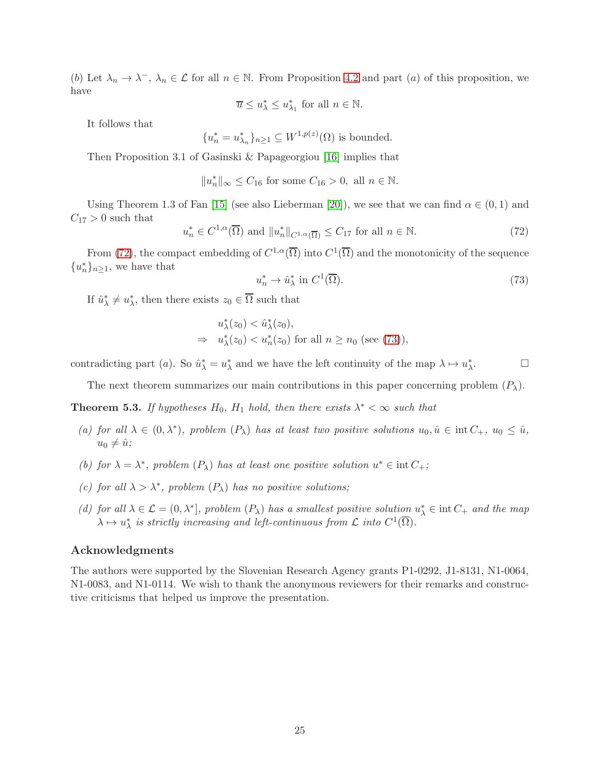(b) Let  $\lambda_n \to \lambda^-$ ,  $\lambda_n \in \mathcal{L}$  for all  $n \in \mathbb{N}$ . From Proposition [4.2](#page-15-4) and part (a) of this proposition, we have

 $\overline{u} \leq u_{\lambda}^* \leq u_{\lambda_1}^*$  for all  $n \in \mathbb{N}$ .

It follows that

$$
\{u_n^* = u_{\lambda_n}^*\}_{n \ge 1} \subseteq W^{1,p(z)}(\Omega)
$$
 is bounded.

Then Proposition 3.1 of Gasinski & Papageorgiou [\[16\]](#page-25-16) implies that

$$
||u_n^*||_{\infty} \le C_{16} \text{ for some } C_{16} > 0, \text{ all } n \in \mathbb{N}.
$$

Using Theorem 1.3 of Fan [\[15\]](#page-25-17) (see also Lieberman [\[20\]](#page-26-18)), we see that we can find  $\alpha \in (0,1)$  and  $C_{17} > 0$  such that

<span id="page-24-0"></span>
$$
u_n^* \in C^{1,\alpha}(\overline{\Omega}) \text{ and } \|u_n^*\|_{C^{1,\alpha}(\overline{\Omega})} \le C_{17} \text{ for all } n \in \mathbb{N}.
$$
 (72)

From [\(72\)](#page-24-0), the compact embedding of  $C^{1,\alpha}(\overline{\Omega})$  into  $C^1(\overline{\Omega})$  and the monotonicity of the sequence  ${u_n^*}_{n \geq 1}$ , we have that

<span id="page-24-1"></span>
$$
u_n^* \to \hat{u}_\lambda^* \text{ in } C^1(\overline{\Omega}).\tag{73}
$$

If  $\hat{u}^*_{\lambda} \neq u^*_{\lambda}$ , then there exists  $z_0 \in \overline{\Omega}$  such that

$$
u_{\lambda}^{*}(z_0) < \hat{u}_{\lambda}^{*}(z_0),
$$
\n
$$
\Rightarrow u_{\lambda}^{*}(z_0) < u_n^{*}(z_0) \text{ for all } n \ge n_0 \text{ (see (73))},
$$

contradicting part (*a*). So  $\hat{u}^*_{\lambda} = u^*_{\lambda}$  and we have the left continuity of the map  $\lambda \mapsto u^*_{\lambda}$  $\Box$ 

The next theorem summarizes our main contributions in this paper concerning problem  $(P_{\lambda})$ .

**Theorem 5.3.** If hypotheses  $H_0$ ,  $H_1$  hold, then there exists  $\lambda^* < \infty$  such that

- (a) for all  $\lambda \in (0, \lambda^*)$ , problem  $(P_{\lambda})$  has at least two positive solutions  $u_0, \hat{u} \in \text{int } C_+$ ,  $u_0 \leq \hat{u}$ ,  $u_0 \neq \hat{u}$ ;
- (b) for  $\lambda = \lambda^*$ , problem  $(P_{\lambda})$  has at least one positive solution  $u^* \in \text{int } C_+$ ;
- (c) for all  $\lambda > \lambda^*$ , problem  $(P_{\lambda})$  has no positive solutions;
- (d) for all  $\lambda \in \mathcal{L} = (0, \lambda^*]$ , problem  $(P_{\lambda})$  has a smallest positive solution  $u_{\lambda}^* \in \text{int } C_+$  and the map  $\lambda \mapsto u_{\lambda}^*$  is strictly increasing and left-continuous from  $\mathcal L$  into  $C^1(\overline{\Omega})$ .

### Acknowledgments

The authors were supported by the Slovenian Research Agency grants P1-0292, J1-8131, N1-0064, N1-0083, and N1-0114. We wish to thank the anonymous reviewers for their remarks and constructive criticisms that helped us improve the presentation.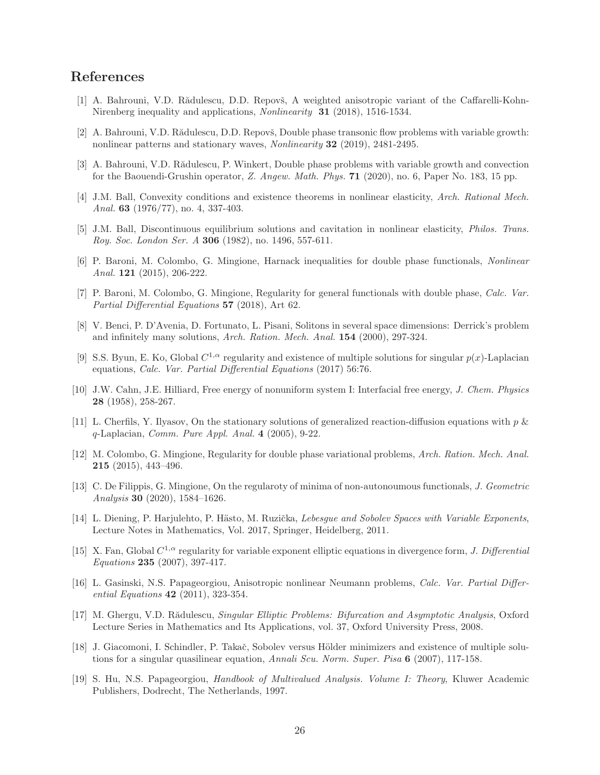# <span id="page-25-12"></span>References

- <span id="page-25-13"></span>[1] A. Bahrouni, V.D. Rădulescu, D.D. Repovš, A weighted anisotropic variant of the Caffarelli-Kohn-Nirenberg inequality and applications, Nonlinearity 31 (2018), 1516-1534.
- <span id="page-25-7"></span>[2] A. Bahrouni, V.D. Rădulescu, D.D. Repovš, Double phase transonic flow problems with variable growth: nonlinear patterns and stationary waves, Nonlinearity 32 (2019), 2481-2495.
- <span id="page-25-0"></span>[3] A. Bahrouni, V.D. Rădulescu, P. Winkert, Double phase problems with variable growth and convection for the Baouendi-Grushin operator, Z. Angew. Math. Phys. 71 (2020), no. 6, Paper No. 183, 15 pp.
- <span id="page-25-1"></span>[4] J.M. Ball, Convexity conditions and existence theorems in nonlinear elasticity, Arch. Rational Mech. Anal. **63** (1976/77), no. 4, 337-403.
- <span id="page-25-2"></span>[5] J.M. Ball, Discontinuous equilibrium solutions and cavitation in nonlinear elasticity, Philos. Trans. Roy. Soc. London Ser. A 306 (1982), no. 1496, 557-611.
- [6] P. Baroni, M. Colombo, G. Mingione, Harnack inequalities for double phase functionals, Nonlinear Anal. 121 (2015), 206-222.
- <span id="page-25-3"></span>[7] P. Baroni, M. Colombo, G. Mingione, Regularity for general functionals with double phase, Calc. Var. Partial Differential Equations 57 (2018), Art 62.
- <span id="page-25-10"></span>[8] V. Benci, P. D'Avenia, D. Fortunato, L. Pisani, Solitons in several space dimensions: Derrick's problem and infinitely many solutions, Arch. Ration. Mech. Anal. 154 (2000), 297-324.
- <span id="page-25-8"></span>[9] S.S. Byun, E. Ko, Global  $C^{1,\alpha}$  regularity and existence of multiple solutions for singular  $p(x)$ -Laplacian equations, Calc. Var. Partial Differential Equations (2017) 56:76.
- <span id="page-25-9"></span>[10] J.W. Cahn, J.E. Hilliard, Free energy of nonuniform system I: Interfacial free energy, J. Chem. Physics 28 (1958), 258-267.
- <span id="page-25-11"></span>[11] L. Cherfils, Y. Ilyasov, On the stationary solutions of generalized reaction-diffusion equations with  $p \&$  $q$ -Laplacian, *Comm. Pure Appl. Anal.* 4 (2005), 9-22.
- <span id="page-25-4"></span>[12] M. Colombo, G. Mingione, Regularity for double phase variational problems, Arch. Ration. Mech. Anal. 215 (2015), 443–496.
- <span id="page-25-6"></span>[13] C. De Filippis, G. Mingione, On the regularoty of minima of non-autonoumous functionals, J. Geometric Analysis 30 (2020), 1584–1626.
- <span id="page-25-15"></span>[14] L. Diening, P. Harjulehto, P. Hästo, M. Ruzička, Lebesque and Sobolev Spaces with Variable Exponents. Lecture Notes in Mathematics, Vol. 2017, Springer, Heidelberg, 2011.
- <span id="page-25-17"></span>[15] X. Fan, Global  $C^{1,\alpha}$  regularity for variable exponent elliptic equations in divergence form, J. Differential Equations 235 (2007), 397-417.
- <span id="page-25-16"></span>[16] L. Gasinski, N.S. Papageorgiou, Anisotropic nonlinear Neumann problems, Calc. Var. Partial Differential Equations 42 (2011), 323-354.
- <span id="page-25-14"></span>[17] M. Ghergu, V.D. Rădulescu, Singular Elliptic Problems: Bifurcation and Asymptotic Analysis, Oxford Lecture Series in Mathematics and Its Applications, vol. 37, Oxford University Press, 2008.
- <span id="page-25-5"></span>[18] J. Giacomoni, I. Schindler, P. Takaˇc, Sobolev versus H¨older minimizers and existence of multiple solutions for a singular quasilinear equation, Annali Scu. Norm. Super. Pisa 6 (2007), 117-158.
- <span id="page-25-18"></span>[19] S. Hu, N.S. Papageorgiou, Handbook of Multivalued Analysis. Volume I: Theory, Kluwer Academic Publishers, Dodrecht, The Netherlands, 1997.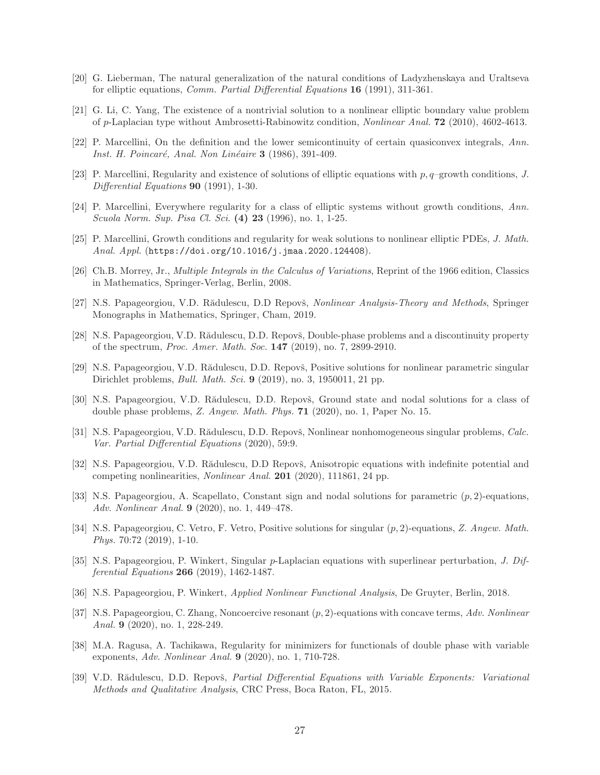- <span id="page-26-18"></span><span id="page-26-16"></span>[20] G. Lieberman, The natural generalization of the natural conditions of Ladyzhenskaya and Uraltseva for elliptic equations, Comm. Partial Differential Equations 16 (1991), 311-361.
- <span id="page-26-0"></span>[21] G. Li, C. Yang, The existence of a nontrivial solution to a nonlinear elliptic boundary value problem of p-Laplacian type without Ambrosetti-Rabinowitz condition, Nonlinear Anal. 72 (2010), 4602-4613.
- <span id="page-26-1"></span>[22] P. Marcellini, On the definition and the lower semicontinuity of certain quasiconvex integrals, Ann. Inst. H. Poincaré, Anal. Non Linéaire 3 (1986), 391-409.
- <span id="page-26-2"></span>[23] P. Marcellini, Regularity and existence of solutions of elliptic equations with  $p, q$ –growth conditions, J. Differential Equations **90** (1991), 1-30.
- <span id="page-26-13"></span>[24] P. Marcellini, Everywhere regularity for a class of elliptic systems without growth conditions, Ann. Scuola Norm. Sup. Pisa Cl. Sci. (4) 23 (1996), no. 1, 1-25.
- <span id="page-26-3"></span>[25] P. Marcellini, Growth conditions and regularity for weak solutions to nonlinear elliptic PDEs, J. Math. Anal. Appl. (https://doi.org/10.1016/j.jmaa.2020.124408).
- <span id="page-26-17"></span>[26] Ch.B. Morrey, Jr., Multiple Integrals in the Calculus of Variations, Reprint of the 1966 edition, Classics in Mathematics, Springer-Verlag, Berlin, 2008.
- [27] N.S. Papageorgiou, V.D. Rădulescu, D.D Repovš, Nonlinear Analysis-Theory and Methods, Springer Monographs in Mathematics, Springer, Cham, 2019.
- <span id="page-26-5"></span>[28] N.S. Papageorgiou, V.D. Rădulescu, D.D. Repovš, Double-phase problems and a discontinuity property of the spectrum, Proc. Amer. Math. Soc. 147 (2019), no. 7, 2899-2910.
- <span id="page-26-6"></span>[29] N.S. Papageorgiou, V.D. Rădulescu, D.D. Repovš, Positive solutions for nonlinear parametric singular Dirichlet problems, *Bull. Math. Sci.* **9** (2019), no. 3, 1950011, 21 pp.
- <span id="page-26-7"></span>[30] N.S. Papageorgiou, V.D. Rădulescu, D.D. Repovš, Ground state and nodal solutions for a class of double phase problems, Z. Angew. Math. Phys. 71 (2020), no. 1, Paper No. 15.
- <span id="page-26-8"></span>[31] N.S. Papageorgiou, V.D. Rădulescu, D.D. Repovš, Nonlinear nonhomogeneous singular problems, Calc. Var. Partial Differential Equations (2020), 59:9.
- <span id="page-26-15"></span>[32] N.S. Papageorgiou, V.D. Rădulescu, D.D Repovš, Anisotropic equations with indefinite potential and competing nonlinearities, Nonlinear Anal. 201 (2020), 111861, 24 pp.
- <span id="page-26-9"></span>[33] N.S. Papageorgiou, A. Scapellato, Constant sign and nodal solutions for parametric (p, 2)-equations, Adv. Nonlinear Anal. 9 (2020), no. 1, 449–478.
- <span id="page-26-10"></span>[34] N.S. Papageorgiou, C. Vetro, F. Vetro, Positive solutions for singular (p, 2)-equations, Z. Angew. Math. Phys. 70:72 (2019), 1-10.
- <span id="page-26-4"></span>[35] N.S. Papageorgiou, P. Winkert, Singular p-Laplacian equations with superlinear perturbation, J. Differential Equations 266 (2019), 1462-1487.
- <span id="page-26-19"></span><span id="page-26-11"></span>[36] N.S. Papageorgiou, P. Winkert, Applied Nonlinear Functional Analysis, De Gruyter, Berlin, 2018.
- [37] N.S. Papageorgiou, C. Zhang, Noncoercive resonant  $(p, 2)$ -equations with concave terms, Adv. Nonlinear Anal. 9 (2020), no. 1, 228-249.
- <span id="page-26-12"></span>[38] M.A. Ragusa, A. Tachikawa, Regularity for minimizers for functionals of double phase with variable exponents, Adv. Nonlinear Anal. 9 (2020), no. 1, 710-728.
- <span id="page-26-14"></span>[39] V.D. Rădulescu, D.D. Repovš, Partial Differential Equations with Variable Exponents: Variational Methods and Qualitative Analysis, CRC Press, Boca Raton, FL, 2015.